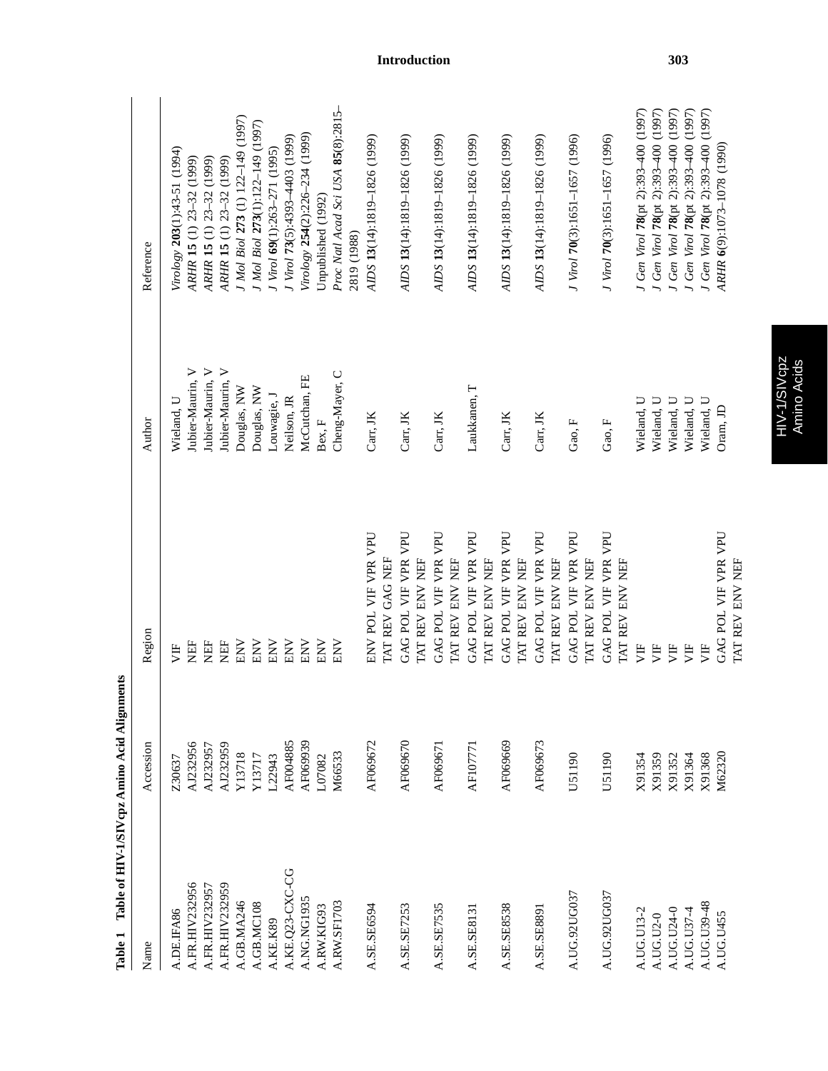| Name            | Accession | Region                                 | Author           | Reference                                         |
|-----------------|-----------|----------------------------------------|------------------|---------------------------------------------------|
| A.DE.IFA86      | Z30637    | È                                      | Wieland, U       | Virology 203(1):43-51 (1994)                      |
| A.FR.HIV232956  | AJ232956  | EF                                     | Jubier-Maurin, V | ARHR 15 (1) 23-32 (1999)                          |
| A.FR.HIV232957  | AJ232957  | EF                                     | Jubier-Maurin, V | ARHR 15 (1) 23-32 (1999)                          |
| A.FR.HIV232959  | AJ232959  | ÈF                                     | Jubier-Maurin, V | ARHR 15 (1) 23-32 (1999)                          |
| A.GB.MA246      | Y13718    | <b>ENV</b>                             | Douglas, NW      | J Mol Biol 273 (1) 122-149 (1997)                 |
| A.GB.MC108      | Y13717    | ENV                                    | Douglas, NW      | I Mol Biol 273(1):122-149 (1997)                  |
| A.KE.K89        | L22943    | ENV                                    | Louwagie, J      | J Virol 69(1):263-271 (1995)                      |
| A.KE.Q23-CXC-CG | AF004885  | ENV                                    | Neilson, JR      | J Virol 73(5):4393-4403 (1999)                    |
| A.NG.NG1935     | AF069939  | ENV                                    | McCutchan, FE    | Virology 254(2):226-234 (1999)                    |
| A.RW.KIG93      | L07082    | ENV                                    | Bex, F           | Unpublished (1992)                                |
| A.RW.SF1703     | M66533    | ENV                                    | Cheng-Mayer, C   | Proc Natl Acad Sci USA 85(8):2815-<br>2819 (1988) |
| A.SE.SE6594     | AF069672  | ENV POL VIF VPR VPU                    | Carr. JK         | AIDS 13(14):1819-1826 (1999)                      |
|                 |           | TAT REV GAG NEF                        |                  |                                                   |
| A.SE.SE7253     | AF069670  | GAG POL VIF VPR VPU<br>TAT REV ENV NEF | Carr, JK         | AIDS 13(14):1819-1826 (1999)                      |
| A.SE.SE7535     | AF069671  | GAG POL VIF VPR VPU<br>TAT REV ENV NEF | Carr, JK         | AIDS 13(14):1819-1826 (1999)                      |
| A.SE.SE8131     | AF107771  | GAG POL VIF VPR VPU<br>TAT REV ENV NEF | Laukkanen, T     | AIDS 13(14):1819-1826 (1999)                      |
| A.SE.SE8538     | AF069669  | GAG POL VIF VPR VPU<br>TAT REV ENV NEF | Carr, JK         | AIDS 13(14):1819-1826 (1999)                      |
| A.SE.SE8891     | AF069673  | GAG POL VIF VPR VPU<br>TAT REV ENV NEF | Carr, JK         | AIDS 13(14):1819-1826 (1999)                      |
| A.UG.92UG037    | U51190    | GAG POL VIF VPR VPU<br>TAT REV ENV NEF | Gao, F           | J Virol 70(3):1651-1657 (1996)                    |
| A.UG.92UG037    | U51190    | GAG POL VIF VPR VPU<br>TAT REV ENV NEF | Gao, F           | J Virol 70(3):1651-1657 (1996)                    |
| A.UG.U13-2      | X91354    | 月                                      | Wieland, U       | J Gen Virol 78(pt 2):393-400 (1997)               |
| A.UG.U2-0       | X91359    | 万                                      | Wieland, U       | J Gen Virol 78(pt 2):393-400 (1997)               |
| A.UG.U24-0      | X91352    | 万                                      | Wieland, U       | J Gen Virol 78(pt 2):393-400 (1997)               |
| A.UG.U37-4      | X91364    | УF                                     | Wieland, U       | J Gen Virol 78(pt 2):393-400 (1997)               |
| A.UG.U39-48     | X91368    | 月                                      | Wieland, U       | J Gen Virol 78(pt 2):393-400 (1997)               |
| A.UG.U455       | M62320    | GAG POL VIF VPR VPU                    | Oram, JD         | ARHR 6(9):1073-1078 (1990)                        |
|                 |           | TAT REV ENV NEF                        |                  |                                                   |

Table 1 Table of HIV-1/SIV cpz Amino Acid Alignments **Table 1 Table of HIV-1/SIVcpz Amino Acid Alignments** HIV-1/SIVcpz<br>Amino Acids HIV-1/SIVcpz Amino Acids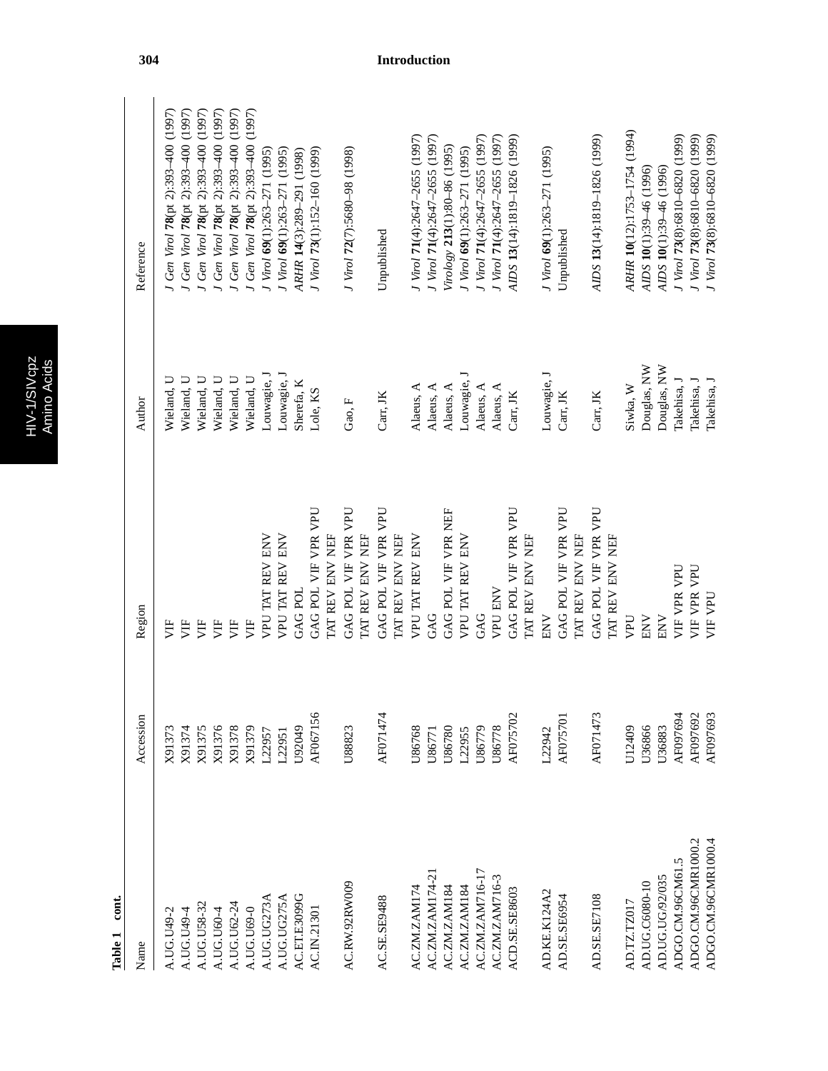| ٦ | Ø |
|---|---|
|   |   |
|   |   |
|   |   |

| è<br>٠ |
|--------|
|        |
| ۳      |
|        |

| cont.<br>Table 1    |           |                                        |             |                                     |
|---------------------|-----------|----------------------------------------|-------------|-------------------------------------|
| Name                | Accession | Region                                 | Author      | Reference                           |
| A.UG.U49-2          | X91373    | 月                                      | Wieland, U  | J Gen Virol 78(pt 2):393-400 (1997) |
| A.UG.U49-4          | X91374    | 月                                      | Wieland, U  | J Gen Virol 78(pt 2):393-400 (1997) |
| A.UG.U58-32         | X91375    | 万                                      | Wieland, U  | Gen Virol 78(pt 2):393-400 (1997)   |
| A.UG.U60-4          | X91376    | 月                                      | Wieland, U  | J Gen Virol 78(pt 2):393-400 (1997) |
| A.UG.U62-24         | X91378    | 月                                      | Wieland, U  | J Gen Virol 78(pt 2):393-400 (1997) |
| A.UG.U69-0          | X91379    | 月                                      | Wieland, U  | J Gen Virol 78(pt 2):393-400 (1997) |
| A.UG.UG273A         | L22957    | VPU TAT REV ENV                        | Louwagie, J | J Virol 69(1):263-271 (1995)        |
| A.UG.UG275A         | L22951    | VPU TAT REV ENV                        | Louwagie, J | J Virol 69(1):263-271 (1995)        |
| AC.ET.E3099G        | U92049    | GAG POL                                | Sherefa, K  | ARHR 14(3):289-291 (1998)           |
| AC.IN.21301         | AF067156  | GAG POL VIF VPR VPU<br>TAT REV ENV NEF | Lole, KS    | J Virol 73(1):152-160 (1999)        |
| AC.RW.92RW009       | U88823    | GAG POL VIF VPR VPU                    | Gao, F      | J Virol 72(7):5680-98 (1998)        |
|                     |           | TAT REV ENV NEF                        |             |                                     |
| AC.SE.SE9488        | AF071474  | GAG POL VIF VPR VPU<br>TAT REV ENV NEF | Carr, JK    | Unpublished                         |
|                     |           |                                        |             |                                     |
| AC.ZM.ZAM174        | U86768    | VPU TAT REV ENV                        | Alaeus, A   | J Virol 71(4):2647-2655 (1997)      |
| AC.ZM.ZAM174-2      | U86771    | GAG                                    | Alaeus, A   | J Virol 71(4):2647-2655 (1997)      |
| AC.ZM.ZAM184        | U86780    | GAG POL VIF VPR NEF                    | Alaeus, A   | Virology 213(1):80-86 (1995)        |
| AC.ZM.ZAM184        | L22955    | VPU TAT REV ENV                        | Louwagie, J | J Virol 69(1):263-271 (1995)        |
| AC.ZM.ZAM716-17     | U86779    | GAG                                    | Alaeus, A   | J Virol 71(4):2647-2655 (1997)      |
| AC.ZM.ZAM716-3      | U86778    | <b>VPU ENV</b>                         | Alaeus, $A$ | J Virol 71(4):2647-2655 (1997)      |
| ACD.SE.SE8603       | AF075702  | GAG POL VIF VPR VPU                    | Carr, JK    | AIDS 13(14):1819-1826 (1999)        |
|                     |           | TAT REV ENV NEF                        |             |                                     |
| AD.KE.K124A2        | L22942    | ENV                                    | Louwagie, J | J Virol 69(1):263-271 (1995)        |
| AD.SE.SE6954        | AF075701  | GAG POL VIF VPR VPU<br>TAT REV ENV NEF | Carr, JK    | Unpublished                         |
| AD.SE.SE7108        | AF071473  | GAG POL VIF VPR VPU<br>TAT REV ENV NEF | Carr, JK    | AIDS 13(14):1819-1826 (1999)        |
| AD.TZ.TZ017         | U12409    | VPU                                    | Siwka, W    | ARHR 10(12):1753-1754 (1994)        |
| AD.UG.C6080-10      | U36866    | ENV                                    | Douglas, NW | AIDS 10(1):39-46 (1996)             |
| AD.UG.UG/92/035     | U36883    | ENV                                    | Douglas, NW | AIDS 10(1):39-46 (1996)             |
| ADGO.CM.96CM61.5    | AF097694  | VIF VPR VPU                            | Takehisa, J | J Virol 73(8):6810-6820 (1999)      |
| ADGO.CM.96CMR1000.2 | AF097692  | VIF VPR VPU                            | Takehisa, J | J Virol 73(8):6810-6820 (1999)      |
| ADGO.CM.96CMR1000.4 | AF097693  | VIF VPU                                | Takehisa, J | I Virol 73(8):6810-6820 (1999)      |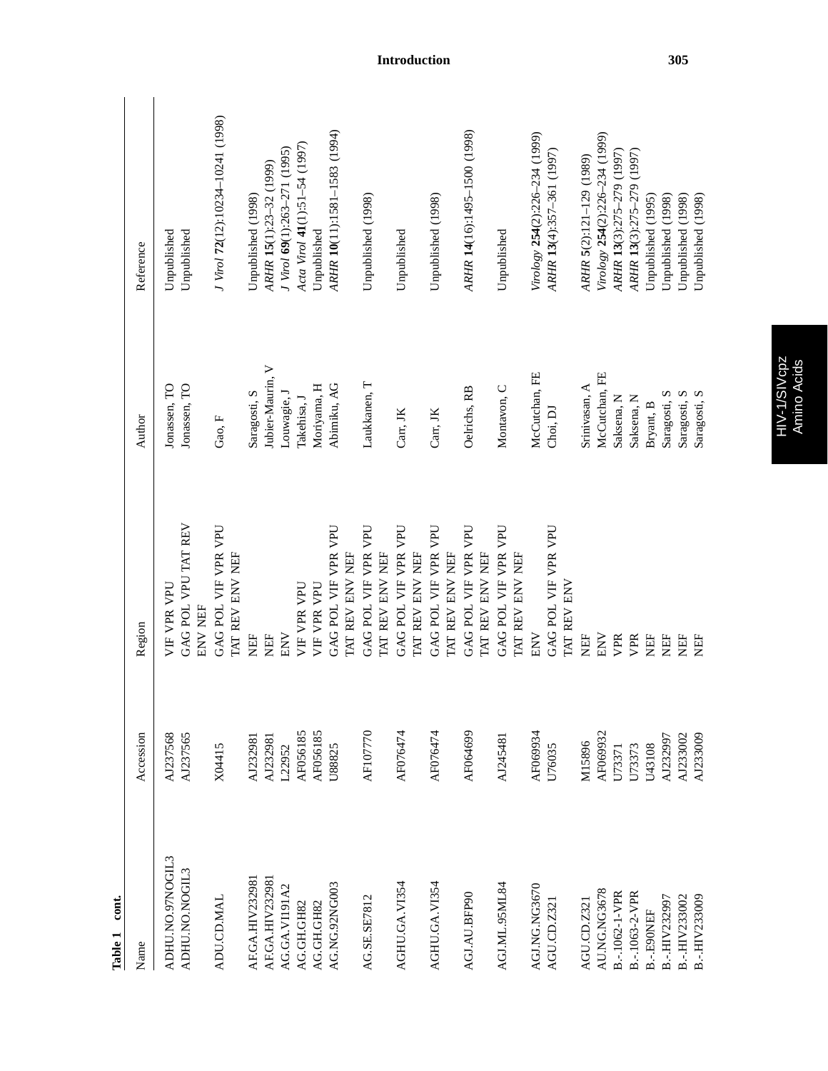| cont.<br>Table 1  |           |                                        |                  |                                   |
|-------------------|-----------|----------------------------------------|------------------|-----------------------------------|
| Name              | Accession | Region                                 | Author           | Reference                         |
| ADHU.NO.97NOGIL3  | AJ237568  | VIF VPR VPU                            | Jonassen, TO     | Unpublished                       |
| ADHU.NO.NOGIL3    | AJ237565  | GAG POL VPU TAT REV<br>ENV NEF         | Jonassen, TO     | Unpublished                       |
| <b>ADU.CD.MAL</b> | X04415    | GAG POL VIF VPR VPU<br>TAT REV ENV NEF | Gao, F           | J Virol 72(12):10234-10241 (1998) |
| AF.GA.HIV232981   | AJ232981  | NEF                                    | Saragosti, S     | Unpublished (1998)                |
| AF.GA.HIV232981   | AJ232981  | <b>NEF</b>                             | Jubier-Maurin, V | ARHR 15(1):23-32 (1999)           |
| AG.GA.VII91A2     | L22952    | ENV                                    | Louwagie, J      | J Virol 69(1):263-271 (1995)      |
| AG.GH.GH82        | AF056185  | VIF VPR VPU                            | Takehisa, J      | Acta Virol 41(1):51-54 (1997)     |
| AG.GH.GH82        | AF056185  | VIF VPR VPU                            | Moriyama, H      | Unpublished                       |
| AG.NG.92NG003     | U88825    | GAG POL VIF VPR VPU                    | Abimiku, AG      | ARHR 10(11):1581-1583 (1994)      |
|                   |           | TAT REV ENV NEF                        |                  |                                   |
| AG.SE.SE7812      | AF107770  | GAG POL VIF VPR VPU<br>TAT REV ENV NEF | Laukkanen, T     | Unpublished (1998)                |
| AGHU.GA.VI354     | AF076474  | GAG POL VIF VPR VPU<br>TAT REV ENV NEF | Carr, JK         | Unpublished                       |
| AGHU.GA.VI354     | AF076474  | GAG POL VIF VPR VPU<br>TAT REV ENV NEF | Carr, JK         | Unpublished (1998)                |
| AGJ.AU.BFP90      | AF064699  | GAG POL VIF VPR VPU<br>TAT REV ENV NEF | Oelrichs, RB     | ARHR 14(16):1495-1500 (1998)      |
| AGJ.ML.95ML84     | AJ245481  | GAG POL VIF VPR VPU<br>TAT REV ENV NEF | Montavon, C      | Unpublished                       |
| AGJ.NG.NG3670     | AF069934  | ENV                                    | McCutchan, FE    | Virology 254(2):226-234 (1999)    |
| AGU.CD.Z321       | U76035    | GAG POL VIF VPR VPU<br>TAT REV ENV     | Choi, DJ         | ARHR 13(4):357-361 (1997)         |
| AGU.CD.Z32        | M15896    | <b>NEF</b>                             | Srinivasan, A    | ARHR 5(2):121-129 (1989)          |
| AU.NG.NG3678      | AF069932  | ENV                                    | McCutchan, FE    | Virology 254(2):226-234 (1999)    |
| B.-.1062-1-VPR    | U73371    | VPR                                    | Saksena, N       | ARHR 13(3):275-279 (1997)         |
| B.-.1063-2-VPR    | U73373    | VPR                                    | Saksena, N       | ARHR 13(3):275-279 (1997)         |
| B.-.E90NEF        | U43108    | ÈE                                     | Bryant, B        | Unpublished (1995)                |
| B.-.HIV232997     | AJ232997  | Ë                                      | Saragosti, S     | Unpublished (1998)                |
| B.-.HIV233002     | AJ233002  | EE                                     | Saragosti, S     | Unpublished (1998)                |
| B.-.HIV233009     | AJ233009  | NEF                                    | Saragosti, S     | Unpublished (1998)                |
|                   |           |                                        |                  |                                   |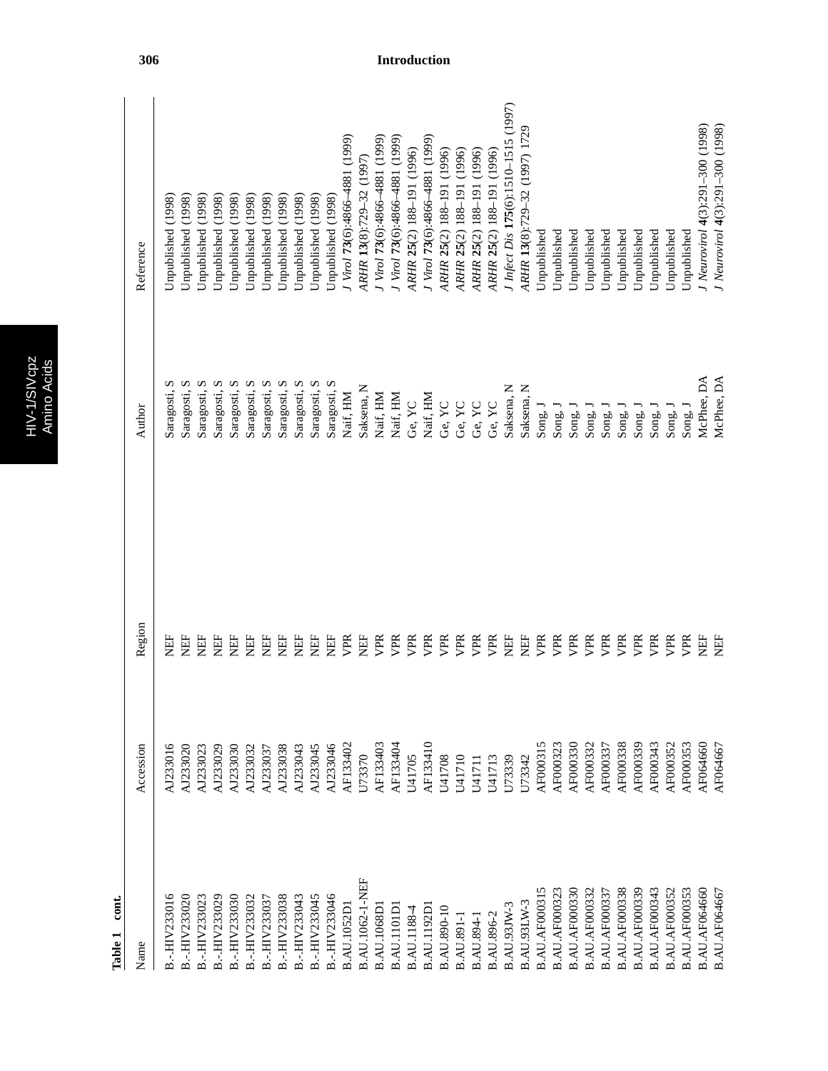|   | ω<br>$\bullet$ |
|---|----------------|
|   |                |
|   | ٥<br>г         |
| တ |                |
|   |                |
|   |                |
|   |                |
|   |                |

| Name                 | Accession | Region    | Author          | Reference                            |
|----------------------|-----------|-----------|-----------------|--------------------------------------|
| B.-.HIV233016        | AJ233016  | Ë         | Ω<br>Saragosti, | (1998)<br>Unpublished                |
| B.-.HIV233020        | AJ233020  | <b>EE</b> | S<br>Saragosti, | Unpublished (1998)                   |
| B.-.HIV233023        | AJ233023  | EF        | S<br>Saragosti, | (1998)<br>Unpublished                |
| B.-.HIV233029        | AJ233029  | Ë         | S<br>Saragosti, | (1998)<br>Unpublished                |
| B.-.HIV233030        | AJ233030  | Ë         | S<br>Saragosti, | (1998)<br>Unpublished                |
| B.-.HIV233032        | AJ233032  | Ë         | n<br>Saragosti, | (1998)<br>Unpublished                |
| B.-.HIV233037        | AJ233037  | EH        | Saragosti, S    | (1998)<br>Unpublished                |
| B.-.HIV233038        | AJ233038  | E         | Saragosti, S    | Unpublished (1998)                   |
| B.-.HIV233043        | AJ233043  | EF        | Saragosti, S    | Unpublished (1998)                   |
| B.-.HIV233045        | AJ233045  | EF        | Saragosti, S    | Unpublished (1998)                   |
| B.-.HIV233046        | AJ233046  | EF        | Saragosti, S    | Unpublished (1998)                   |
| <b>B.AU.1052D</b>    | AF133402  | VPR       | Naif, HM        | I Virol 73(6):4866–4881 (1999)       |
| B.AU.1062-1-NEF      | U73370    | EF        | Saksena, N      | ARHR 13(8):729-32 (1997)             |
| <b>B.AU.1068D</b>    | AF133403  | VPR       | Naif, HM        | J Virol 73(6):4866–4881 (1999)       |
| B.AU.1101D           | AF133404  | VPR       | Naif, HM        | J Virol 73(6):4866–4881 (1999)       |
| B.AU.1188-4          | U41705    | VPR       | Ge, YC          | ARHR 25(2) 188-191 (1996)            |
| <b>B.AU.1192D</b>    | AF133410  | VPR       | Naif, HM        | J Virol 73(6):4866–4881 (1999)       |
| <b>B.AU.890-10</b>   | U41708    | VPR       | Ge, YC          | ARHR 25(2) 188-191 (1996)            |
| <b>B.AU.891-1</b>    | U41710    | VPR       | Ge, YC          | ARHR 25(2) 188-191 (1996)            |
| <b>B.AU.894-1</b>    | U41711    | VPR       | Ge, YC          | ARHR 25(2) 188-191 (1996)            |
| <b>B.AU.896-2</b>    | U41713    | VPR       | Ge, YC          | ARHR 25(2) 188-191 (1996)            |
| B.AU.93JW-3          | U73339    | EF        | Saksena, N      | J Infect Dis 175(6):1510-1515 (1997) |
| <b>B.AU.93LW-3</b>   | U73342    | EE        | Saksena, N      | ARHR 13(8):729-32 (1997) 1729        |
| <b>B.AU.AF000315</b> | AF000315  | VPR       | Song, J         | <b>J</b> npublished                  |
| <b>B.AU.AF000323</b> | AF000323  | VPR       | Song.           | Jnpublished                          |
| <b>B.AU.AF000330</b> | AF000330  | VPR       | Song,           | Jnpublished                          |
| <b>B.AU.AF000332</b> | AF000332  | VPR       | Song,           | Jnpublished                          |
| B.AU.AF000337        | AF000337  | VPR       | Song,           | <b>J</b> npublished                  |
| <b>B.AU.AF000338</b> | AF000338  | VPR       | Song,           | Jnpublished                          |
| <b>B.AU.AF000339</b> | AF000339  | VPR       | Song,           | <b>J</b> npublished                  |
| <b>B.AU.AF000343</b> | AF000343  | VPR       | Song,           | <b>J</b> npublished                  |
| B.AU.AF000352        | AF000352  | VPR       | Song,           | <b>J</b> npublished                  |
| <b>B.AU.AF000353</b> | AF000353  | VPR       | $\rm{Sing},l$   | Unpublished                          |
| <b>B.AU.AF064660</b> | AF064660  | EF        | McPhee, DA      | I Neurovirol 4(3):291-300 (1998)     |
| B.AU.AF064667        | AF064667  | EE        | McPhee, DA      | J Neurovirol 4(3):291-300 (1998)     |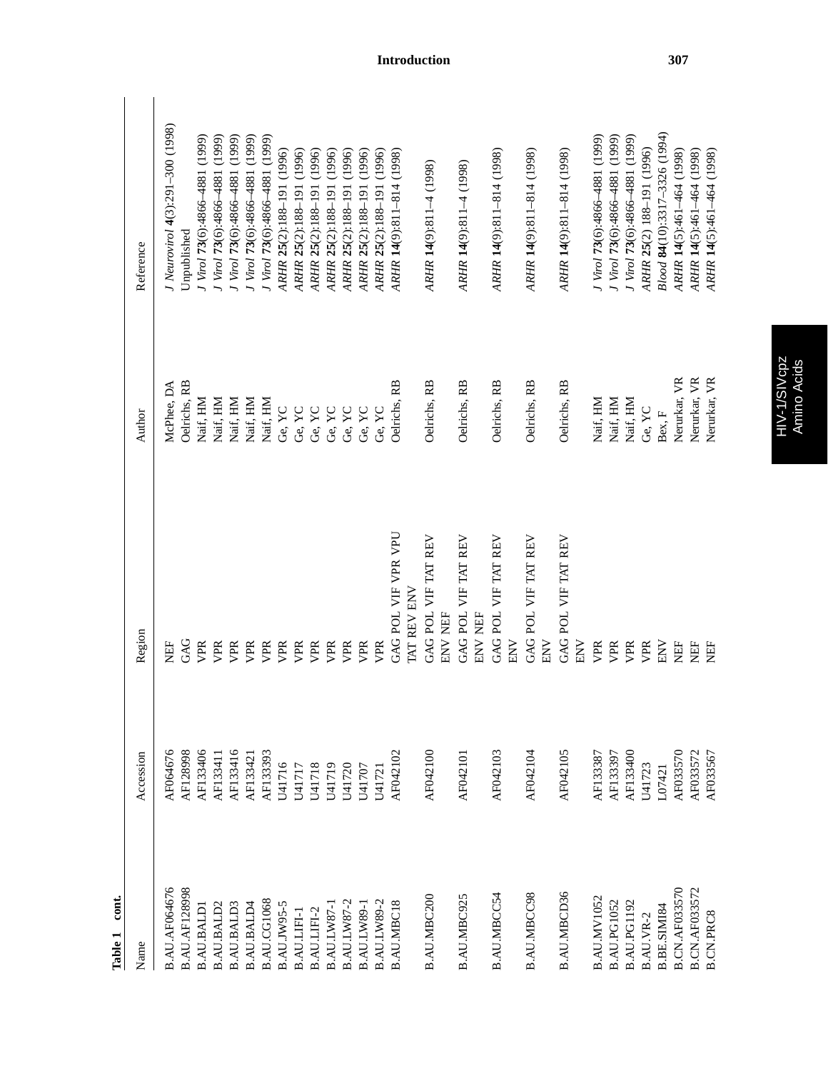| cont.<br>Table 1     |           |                                    |              |                                  |
|----------------------|-----------|------------------------------------|--------------|----------------------------------|
| Name                 | Accession | Region                             | Author       | Reference                        |
| <b>B.AU.AF064676</b> | AF064676  | EF                                 | McPhee, DA   | J Neurovirol 4(3):291-300 (1998) |
| <b>B.AU.AF128998</b> | AF128998  | GAG                                | Oelrichs, RB | Unpublished                      |
| <b>B.AU.BALD</b>     | AF133406  | VPR                                | Naif, HM     | Virol 73(6):4866-4881 (1999)     |
| B.AU.BALD2           | AF133411  | VPR                                | Naif, HM     | J Virol 73(6):4866–4881 (1999)   |
| B.AU.BALD3           | AF133416  | VPR                                | Naif, HM     | J Virol 73(6):4866–4881 (1999)   |
| B.AU.BALD4           | AF13342   | VPR                                | Naif, HM     | J Virol 73(6):4866–4881 (1999)   |
| B.AU.CG1068          | AF133393  | VPR                                | Naif, HM     | J Virol 73(6):4866–4881 (1999)   |
| <b>B.AU.JW95-5</b>   | U41716    | VPR                                | Ge, YC       | ARHR 25(2):188-191 (1996)        |
| B.AU.LIFI-1          | U41717    | VPR                                | Ge, YC       | ARHR 25(2):188-191 (1996)        |
| B.AU.LIFI-2          | U41718    | VPR                                | Ge, YC       | ARHR 25(2):188-191 (1996)        |
| B.AU.LW87-           | U41719    | VPR                                | Ge, YC       | ARHR 25(2):188-191 (1996)        |
| B.AU.LW87-2          | U41720    | VPR                                | Ge, YC       | ARHR 25(2):188-191 (1996)        |
| B.AU.LW89-1          | U41707    | VPR                                | Ge, YC       | ARHR 25(2):188-191 (1996)        |
| B.AU.LW89-2          | U41721    | VPR                                | Ge, YC       | ARHR 25(2):188-191 (1996)        |
| <b>B.AU.MBC18</b>    | AF042102  | GAG POL VIF VPR VPU<br>TAT REV ENV | Oelrichs, RB | ARHR 14(9):811-814 (1998)        |
|                      |           |                                    |              |                                  |
| B.AU.MBC200          | AF042100  | GAG POL VIF TAT REV<br>ENV NEF     | Oelrichs, RB | ARHR 14(9):811-4 (1998)          |
| B.AU.MBC925          | AF042101  | GAG POL VIF TAT REV<br>ENV NEF     | Oelrichs, RB | ARHR 14(9):811-4 (1998)          |
| B.AU.MBCC54          | AF042103  | GAG POL VIF TAT REV<br>ENV         | Oelrichs, RB | ARHR 14(9):811-814 (1998)        |
| <b>B.AU.MBCC98</b>   | AF042104  | GAG POL VIF TAT REV<br>ENV         | Oelrichs, RB | ARHR 14(9):811-814 (1998)        |
| B.AU.MBCD36          | AF042105  | GAG POL VIF TAT REV<br><b>NN</b>   | Oelrichs, RB | ARHR 14(9):811-814 (1998)        |
| B.AU.MV1052          | AF133387  | VPR                                | Naif, HM     | J Virol 73(6):4866–4881 (1999)   |
| B.AU.PG1052          | AF133397  | VPR                                | Naif, HM     | J Virol 73(6):4866–4881 (1999)   |
| B.AU.PG1192          | AF133400  | VPR                                | Naif, HM     | J Virol 73(6):4866–4881 (1999)   |
| B.AU.VR-2            | U41723    | VPR                                | Ge, YC       | ARHR 25(2) 188-191 (1996)        |
| B.BE.SIMI84          | L07421    | <b>NN</b>                          | Bex, F       | Blood 84(10):3317-3326 (1994)    |
| <b>B.CN.AF033570</b> | AF033570  | EF                                 | Nerurkar, VR | ARHR 14(5):461-464 (1998)        |
| <b>B.CN.AF033572</b> | AF033572  | EF                                 | Nerurkar, VR | ARHR 14(5):461-464 (1998)        |
| <b>B.CN.PRC8</b>     | AF033567  | EF                                 | Nerurkar, VR | ARHR 14(5):461-464 (1998)        |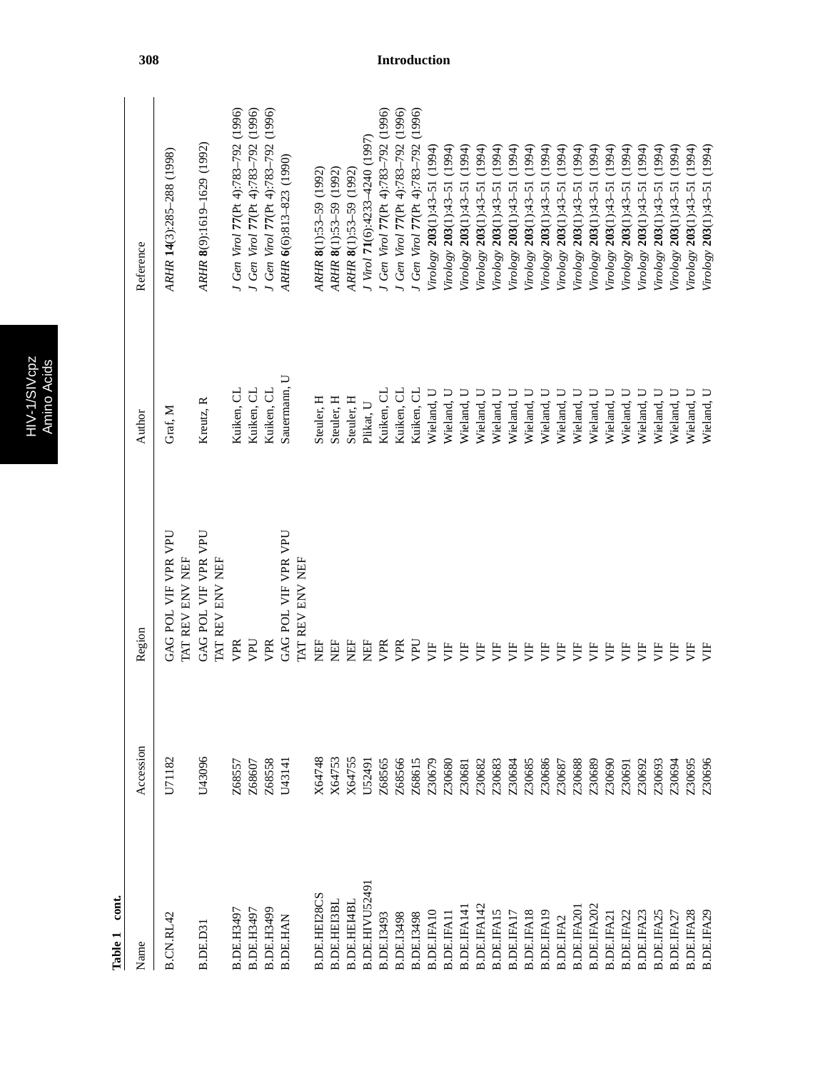|   | Ď |
|---|---|
| ¢ |   |
|   |   |
|   | г |
|   |   |

| Name                | Accession | Region                                 | Author       | Reference                               |
|---------------------|-----------|----------------------------------------|--------------|-----------------------------------------|
| B.CN.RL42           | U71182    | GAG POL VIF VPR VPU<br>TAT REV ENV NEF | Graf, M      | ARHR 14(3):285-288 (1998)               |
| B.DE.D31            | U43096    | GAG POL VIF VPR VPU<br>TAT REV ENV NEF | Kreutz, R    | ARHR 8(9):1619-1629 (1992)              |
| B.DE.H3497          | Z68557    | VPR                                    | Kuiken, CL   | J Gen Virol 77 (Pt 4):783-792 (1996)    |
| B.DE.H3497          | Z68607    | UdA                                    | Kuiken, CL   | J Gen Virol 77(Pt 4):783-792 (1996)     |
| B.DE.H3499          | Z68558    | VPR                                    | Kuiken, CL   | (1996)<br>J Gen Virol 77 (Pt 4):783-792 |
| <b>B.DE.HAN</b>     | U43141    | GAG POL VIF VPR VPU<br>TAT REV ENV NEF | Sauermann, U | ARHR 6(6):813-823 (1990)                |
| <b>B.DE.HEI28CS</b> | X64748    | E                                      | Steuler, H   | ARHR 8(1):53-59 (1992)                  |
| <b>B.DE.HEI3BL</b>  | X64753    | ÈE                                     | Steuler, H   | ARHR 8(1):53-59 (1992)                  |
| <b>B.DE.HEI4BI</b>  | X64755    | Ë                                      | Steuler, H   | ARHR 8(1):53-59 (1992)                  |
| B.DE.HIVU52491      | U52491    | È                                      | Plikat, U    | J Virol 71(6):4233-4240 (1997)          |
| B.DE.I3493          | Z68565    | VPR                                    | Kuiken, CL   | J Gen Virol 77 (Pt 4):783-792 (1996)    |
| <b>B.DE.I3498</b>   | Z68566    | VPR                                    | Kuiken, CL   | J Gen Virol 77 (Pt 4):783-792 (1996)    |
| <b>B.DE.I3498</b>   | Z68615    | DdA                                    | Kuiken, CL   | J Gen Virol 77 (Pt 4):783-792 (1996)    |
| <b>B.DE.IFA10</b>   | Z30679    | 灯                                      | Wieland, U   | Virology 203(1):43-51 (1994)            |
| <b>B.DE.IFAI</b>    | Z30680    | UH                                     | Wieland, U   | Virology 203(1):43-51 (1994)            |
| B.DE.IFA14          | Z30681    | UH                                     | Wieland, U   | (1994)<br>Virology 203(1):43-51         |
| B.DE.IFA142         | Z30682    | UH                                     | Wieland, U   | (1994)<br>Virology 203(1):43-51         |
| B.DE.IFA15          | Z30683    | 月                                      | Wieland, U   | (1994)<br>Virology 203(1):43-51         |
| B.DE.IFAI           | Z30684    | 買                                      | Wieland, U   | (1994)<br>Virology 203(1):43-51         |
| B.DE.IFA18          | Z30685    | уIF                                    | Wieland, U   | (1994)<br>Virology 203(1):43-51         |
| <b>B.DE.IFA19</b>   | Z30686    | È                                      | Wieland, U   | (1994)<br>Virology 203(1):43-51         |
| <b>B.DE.IFA2</b>    | Z30687    | 月                                      | Wieland, U   | (1994)<br>Virology 203(1):43-51         |
| B.DE.IFA20          | Z30688    | 万                                      | Wieland, U   | (1994)<br>Virology 203(1):43-51         |
| B.DE.IFA202         | Z30689    | 万                                      | Wieland, U   | (1994)<br>Virology 203(1):43-51         |
| <b>B.DE.IFA2</b>    | Z30690    | 万                                      | Wieland, U   | (1994)<br>Virology 203(1):43-51         |
| <b>B.DE.IFA22</b>   | Z30691    | 月                                      | Wieland, U   | (1994)<br>Virology 203(1):43-51         |
| B.DE.IFA2           | Z30692    | 月                                      | Wieland, U   | (1994)<br>Virology 203(1):43-51         |
| <b>B.DE.IFA25</b>   | Z30693    | 月                                      | Wieland, U   | Virology 203(1):43-51 (1994)            |
| B.DE.IFA27          | Z30694    | 月                                      | Wieland, U   | Virology 203(1):43-51 (1994)            |
| B.DE.IFA28          | Z30695    | 月                                      | Wieland, U   | Virology 203(1):43-51 (1994)            |
| B.DE.IFA29          | Z30696    | 月                                      | Wieland, U   | Virology 203(1):43-51 (1994)            |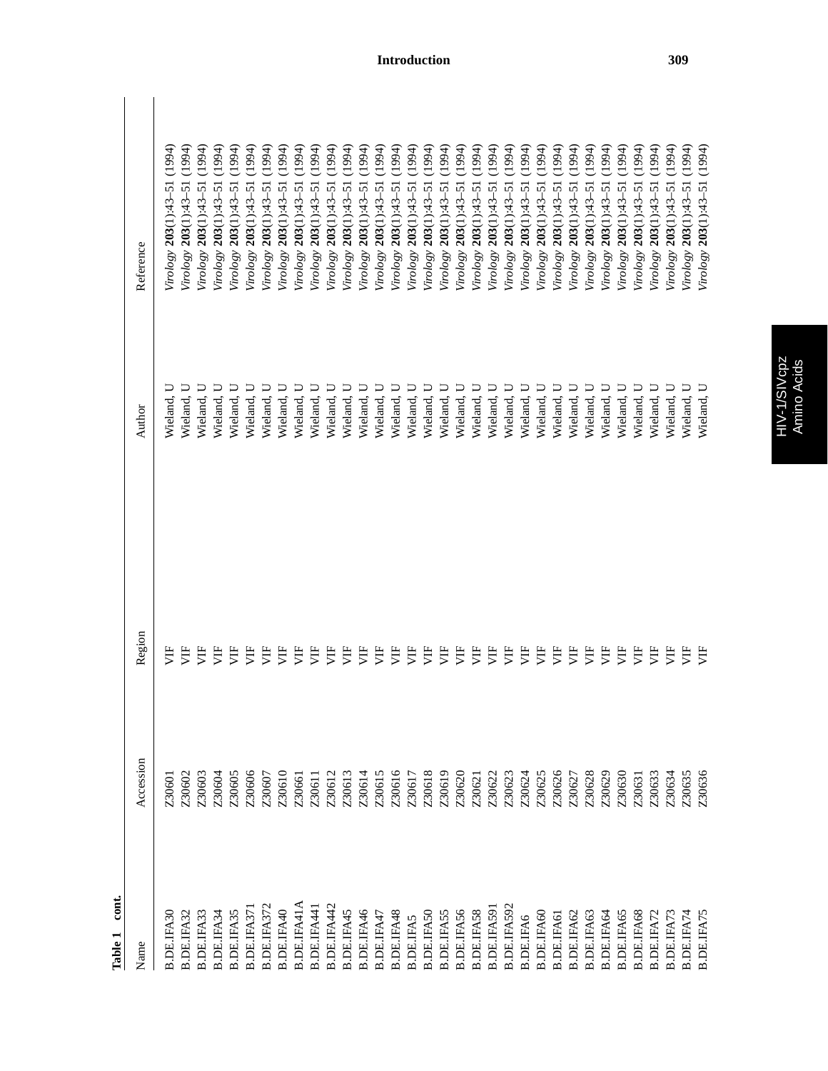| cont.<br>Table 1  |           |        |            |                                 |
|-------------------|-----------|--------|------------|---------------------------------|
| Name              | Accession | Region | Author     | Reference                       |
| B.DE.IFA30        | Z30601    | Ë      | Wieland, U | (1994)<br>Virology 203(1):43-51 |
| B.DE.IFA32        | Z30602    | Ë      | Wieland, U | Virology 203(1):43-51 (1994)    |
| B.DE.IFA33        | Z30603    | 買      | Wieland, U | (1994)<br>Virology 203(1):43-51 |
| B.DE.IFA34        | Z30604    | 貰      | Wieland, U | (1994)<br>Trology 203(1):43-51  |
| B.DE.IFA35        | Z30605    | Ë      | Wieland, U | (1994)<br>Virology 203(1):43-51 |
| B.DE.IFA37        | Z30606    | 貰      | Wieland, U | (1994)<br>Virology 203(1):43-51 |
| B.DE.IFA37        | Z30607    | うと     | Wieland, U | (1994)<br>Trology 203(1):43-51  |
| B.DE.IFA40        | Z30610    | うと     | Wieland, U | (1994)<br>Trology 203(1):43-51  |
| B.DE.IFA41A       | Z30661    | うと     | Wieland, U | (1994)<br>Trology 203(1):43-51  |
| B.DE.IFA441       | Z30611    | 買      | Wieland, U | (1994)<br>Trology 203(1):43-51  |
| B.DE.IFA442       | Z30612    | 買      | Wieland, U | (1994)<br>Virology 203(1):43-51 |
| B.DE.IFA45        | Z30613    | Ë      | Wieland, U | (1994)<br>Virology 203(1):43-51 |
| B.DE.IFA46        | Z30614    | 買      | Wieland, U | (1994)<br>Trology 203(1):43-51  |
| B.DE.IFA47        | Z30615    | 買      | Wieland, U | (1994)<br>/irology 203(1):43-51 |
| B.DE.IFA48        | Z30616    | うと     | Wieland, U | (1994)<br>Tirology 203(1):43-51 |
| <b>B.DE.IFA5</b>  | Z30617    | うと     | Wieland, U | (1994)<br>Trology 203(1):43-51  |
| <b>B.DE.IFA50</b> | Z30618    | うと     | Wieland, U | (1994)<br>Tirology 203(1):43-51 |
| <b>B.DE.IFA55</b> | Z30619    | 買      | Wieland, U | (1994)<br>Tirology 203(1):43-51 |
| B.DE.IFA56        | Z30620    | 買      | Wieland, U | (1994)<br>Trology 203(1):43-51  |
| B.DE.IFA58        | Z30621    | Ë      | Wieland, U | (1994)<br>Trology 203(1):43-51  |
| B.DE.IFA59        | Z30622    | 買      | Wieland, U | (1994)<br>Trology 203(1):43-51  |
| B.DE.IFA592       | Z30623    | 買      | Wieland, U | (1994)<br>Trology 203(1):43-51  |
| <b>B.DE.IFA6</b>  | Z30624    | 貰      | Wieland, U | (1994)<br>Trology 203(1):43-51  |
| <b>B.DE.IFA60</b> | Z30625    | うと     | Wieland, U | (1994)<br>Trology 203(1):43-51  |
| <b>B.DE.IFA61</b> | Z30626    | Ë      | Wieland, U | (1994)<br>Tirology 203(1):43-51 |
| B.DE.IFA62        | Z30627    | Ë      | Wieland, U | (1994)<br>Virology 203(1):43-51 |
| B.DE.IFA63        | Z30628    | Ë      | Wieland, U | (1994)<br>Virology 203(1):43-51 |
| B.DE.IFA64        | Z30629    | Ë      | Wieland, U | (1994)<br>Virology 203(1):43-51 |
| B.DE.IFA65        | Z30630    | 買      | Wieland, U | (1994)<br>Virology 203(1):43-51 |
| B.DE.IFA68        | Z30631    | 買      | Wieland, U | (1994)<br>Virology 203(1):43-51 |
| B.DE.IFA72        | Z30633    | 買      | Wieland, U | (1994)<br>Virology 203(1):43-51 |
| B.DE.IFA73        | Z30634    | うと     | Wieland, U | (1994)<br>Virology 203(1):43-51 |
| B.DE.IFA74        | Z30635    | Ë      | Wieland, U | (1994)<br>Virology 203(1):43-51 |
| B.DE.IFA75        | Z30636    | Ë      | Wieland, U | Virology 203(1):43-51 (1994)    |

# HIV-1/SIVcpz<br>Amino Acids HIV-1/SIVcpz Amino Acids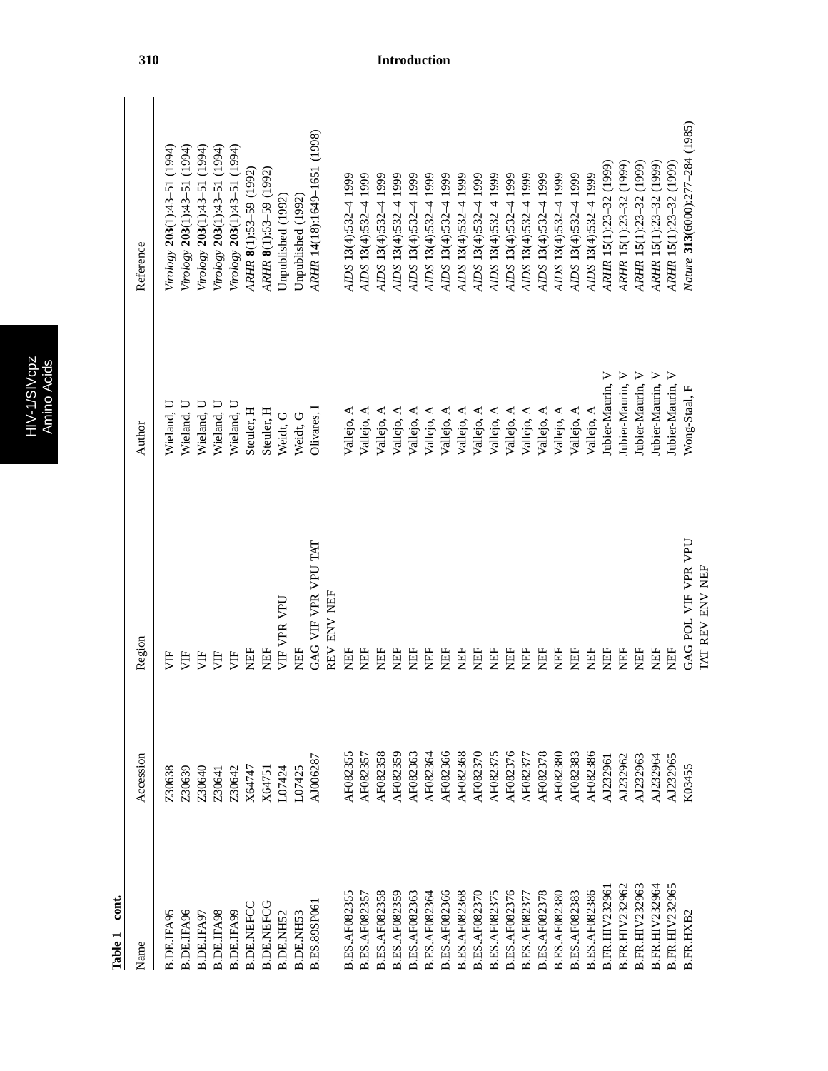| D |
|---|
|   |
|   |
|   |
|   |

| Name                  | Accession | Region              | Author              | Reference                       |
|-----------------------|-----------|---------------------|---------------------|---------------------------------|
|                       |           |                     |                     |                                 |
| B.DE.IFA95            | Z30638    | 岁                   | Wieland, U          | Virology 203(1):43-51 (1994)    |
| B.DE.IFA96            | Z30639    | 月                   | Wieland, U          | Virology 203(1):43-51 (1994)    |
| B.DE.IFA97            | Z30640    | УF                  | Wieland, U          | Virology 203(1):43-51 (1994)    |
| B.DE.IFA98            | Z30641    | È                   | Wieland, U          | Virology 203(1):43-51 (1994)    |
| B.DE.IFA99            | Z30642    | È                   | Wieland, U          | Virology 203(1):43-51 (1994)    |
| <b>B.DE.NEFC</b>      | X64747    | EF                  | Steuler, H          | ARHR 8(1):53-59 (1992)          |
| <b>B.DE.NEFCG</b>     | X64751    | EF                  | Steuler, H          | ARHR 8(1):53-59 (1992)          |
| B.DE.NH52             | L07424    | VIF VPR VPU         | Weidt, G            | Unpublished (1992)              |
| <b>B.DE.NH53</b>      | L07425    | <b>NEF</b>          | Weidt, G            | Unpublished (1992)              |
| <b>B.ES.89SP06</b>    | AJ006287  | GAG VIF VPR VPU TAT | Olivares, I         | ARHR 14(18):1649-1651 (1998)    |
|                       |           | REV ENV NEF         |                     |                                 |
| <b>B.ES.AF082355</b>  | AF082355  | EE                  | Vallejo, A          | AIDS $13(4)$ :532-4 1999        |
| <b>B.ES.AF08235</b>   | AF082357  | EF                  | Vallejo, A          | AIDS 13(4):532-4 1999           |
| <b>B.ES.AF082358</b>  | AF082358  | EF                  | Vallejo, A          | 1999<br>AIDS 13(4):532-4        |
| <b>B.ES.AF082359</b>  | AF082359  | EE                  | Vallejo, A          | 1999<br>AIDS 13(4):532-4        |
| <b>B.ES.AF082363</b>  | AF082363  | EE                  | Vallejo, A          | 1999<br>AIDS 13(4):532-4        |
| <b>B.ES.AF082364</b>  | AF082364  | EF                  | Vallejo, A          | 1999<br>AIDS 13(4):532-4        |
| <b>B.ES.AF082366</b>  | AF082366  | EF                  | Vallejo, A          | 1999<br>$ADS 13(4):532-4$       |
| <b>B.ES.AF082368</b>  | AF082368  | EF                  | Vallejo, A          | 1999<br>AIDS 13(4):532-4        |
| <b>B.ES.AF082370</b>  | AF082370  | Ë                   | Vallejo, A          | 1999<br>AIDS 13(4):532-4        |
| <b>B.ES.AF082375</b>  | AF082375  | EF                  | Vallejo, A          | 1999<br>AIDS 13(4):532-4        |
| <b>B.ES.AF082376</b>  | AF082376  | EF                  | Vallejo, A          | 1999<br>AIDS 13(4):532-4        |
| <b>B.ES.AF08237</b>   | AF08237   | EF                  | Vallejo, A          | 1999<br>AIDS 13(4):532-4        |
| <b>B.ES.AF082378</b>  | AF082378  | EF                  | Vallejo, A          | AIDS 13(4):532-4 1999           |
| <b>B.ES.AF082380</b>  | AF082380  | EF                  | Vallejo, A          | AIDS 13(4):532-4 1999           |
| <b>B.ES.AF082383</b>  | AF082383  | EF                  | Vallejo, A          | AIDS 13(4):532-4 1999           |
| <b>B.ES.AF082386</b>  | AF082386  | EF                  | Vallejo, A          | AIDS 13(4):532-4 1999           |
| <b>B.FR.HIV23296</b>  | AJ232961  | EF                  | Jubier-Maurin, V    | ARHR 15(1):23-32 (1999)         |
| <b>B.FR.HIV232962</b> | AJ232962  | EF                  | Jubier-Maurin, V    | (1999)<br>ARHR 15(1):23-32      |
| <b>B.FR.HIV232963</b> | AJ232963  | HEF                 | Jubier-Maurin, V    | (1999)<br>ARHR 15(1):23-32      |
| <b>B.FR.HIV232964</b> | AJ232964  | EF                  | ➢<br>Jubier-Maurin, | (1999)<br>ARHR 15(1):23-32      |
| <b>B.FR.HIV232965</b> | AJ232965  | <b>NEF</b>          | ⋗<br>Jubier-Maurin, | ARHR 15(1):23-32 (1999)         |
| B.FR.HXB2             | K03455    | GAG POL VIF VPR VPU | Wong-Staal, F       | Nature 313(6000):277-284 (1985) |
|                       |           | TAT REV ENV NEF     |                     |                                 |

 $\overline{\phantom{a}}$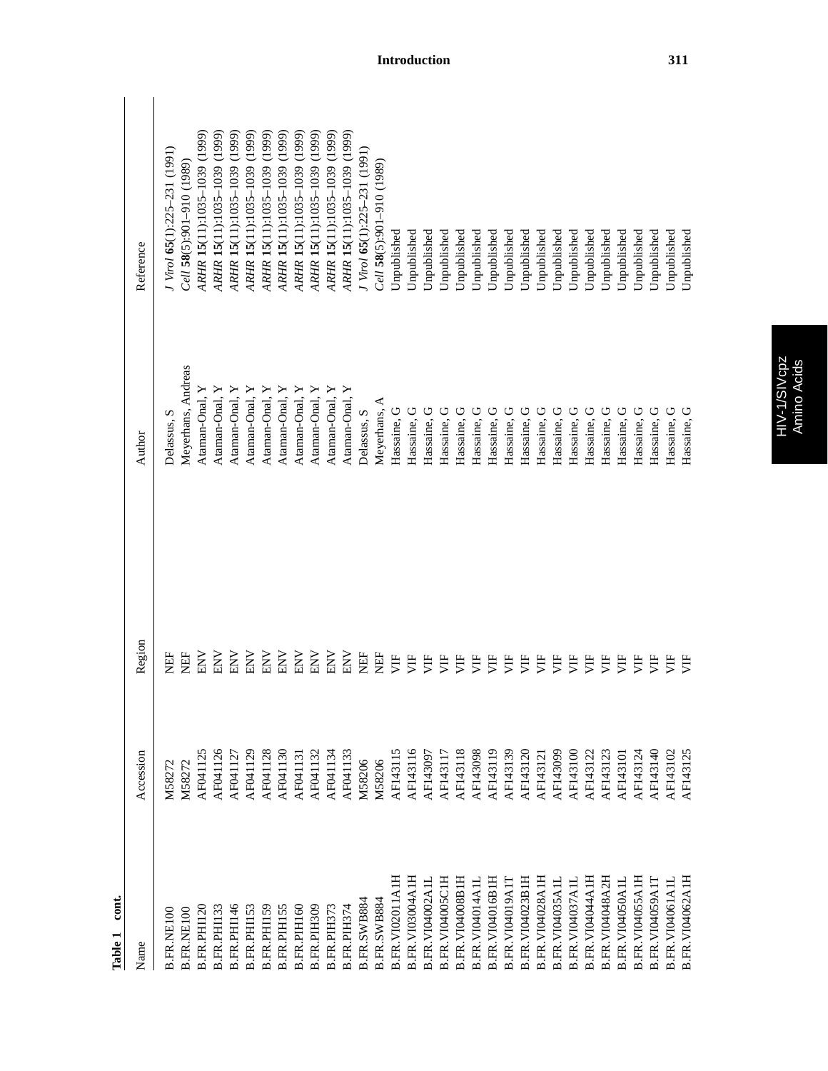| $\cot$<br>Table 1      |           |            |                    |                                  |
|------------------------|-----------|------------|--------------------|----------------------------------|
| Name                   | Accession | Region     | Author             | Reference                        |
| <b>B.FR.NE100</b>      | M58272    | EF         | Delassus, S        | $J$ Virol 65(1):225-231 (1991)   |
| <b>B.FR.NE100</b>      | M58272    | EF         | Meyerhans, Andreas | $Cell$ 58(5):901-910 (1989)      |
| B.FR.PHI120            | AF041125  | <b>ENV</b> | Ataman-Onal, Y     | ARHR 15(11):1035-1039 (1999)     |
| <b>B.FR.PHI13</b>      | AF041126  | NNE        | Ataman-Onal, Y     | ARHR 15(11):1035-1039 (1999)     |
| B.FR.PHI146            | AF041127  | NNE        | Ataman-Onal, Y     | ARHR 15(11):1035-1039 (1999)     |
| B.FR.PHI153            | AF041129  | <b>NN</b>  | Ataman-Onal, Y     | ARHR 15(11):1035-1039 (1999)     |
| B.FR.PHI59             | AF041128  | ENV        | Ataman-Onal, Y     | (1999)<br>ARHR 15(11):1035-1039  |
| B.FR.PIH155            | AF041130  | <b>ENV</b> | Ataman-Onal, Y     | ARHR 15(11):1035-1039 (1999)     |
| B.FR.PIH160            | AF041131  | ENV        | Ataman-Onal, Y     | ARHR 15(11):1035-1039 (1999)     |
| B.FR.PIH309            | AF041132  | <b>ENV</b> | Ataman-Onal, Y     | ARHR 15(11):1035-1039 (1999)     |
| B.FR.PIH373            | AF041134  | <b>ENV</b> | Ataman-Onal, Y     | ARHR 15(11):1035-1039 (1999)     |
| B.FR.PIH374            | AF041133  | <b>NN</b>  | Ataman-Onal, Y     | ARHR 15(11):1035-1039 (1999)     |
| B.FR.SWB884            | M58206    | EF         | Delassus, S        | J Virol 65(1):225-231 (1991)     |
| B.FR.SWB884            | M58206    | EF         | Meyerhans, A       | Cell 58(5):901-910 (1989)        |
| B.FR.VI02011A1H        | AF143115  | 月          | Hassaine, G        | <b>J</b> npublished              |
| B.FR.VI03004A1H        | AF143116  | Ë          | Hassaine, G        | <b>J</b> npublished              |
| B.FR.VI04002A1I        | AF143097  | Ë          | Hassaine. G        | Unpublished                      |
| B.FR.VI04005C1H        | AF143117  | 月          | Hassaine,          | Unpublished                      |
| B.FR.VI04008B1H        | AF143118  | Ë          | Hassaine,          | Unpublished                      |
| <b>B.FR.VI04014A1I</b> | AF143098  | Ë          | Hassaine,          | Unpublished                      |
| B.FR.VI04016B1H        | AF143119  | Ë          | Hassaine,          | Unpublished                      |
| B.FR.VI04019A17        | AF143139  | Ë          | Hassaine,          | Unpublished                      |
| B.FR.VI04023B1H        | AF143120  | 罗          | Hassaine. G        | Unpublished                      |
| B.FR.VI04028A1H        | AF143121  | Ë          | Hassaine, G        | Unpublished                      |
| B.FR.VI04035A1L        | AF143099  | ЭË         | Hassaine, G        | Unpublished                      |
| B.FR.VI04037A1L        | AF143100  | Ë          | Hassaine, G        | Unpublished                      |
| B.FR.VI04044A1H        | AF143122  | Ë          | Hassaine, G        | Unpublished                      |
| <b>B.FR.VI04048A2H</b> | AF143123  | È          | Hassaine, G        | Unpublished                      |
| B.FR.VI04050A1L        | AF143101  | Ë          | Hassaine, G        | Unpublished                      |
| B.FR.VI04055A1H        | AF143124  | Ë          | Hassaine, G        | <b><i><u>Jnpublished</u></i></b> |
| B.FR.VI04059A17        | AF143140  | うとり        | Hassaine, G        | <b>J</b> npublished              |
| B.FR.VI04061A1L        | AF143102  | Ë          | Hassaine, G        | Jnpublished                      |
| B.FR.VI04062A1F        | AF143125  | È          | Hassaine, G        | <b>J</b> npublished              |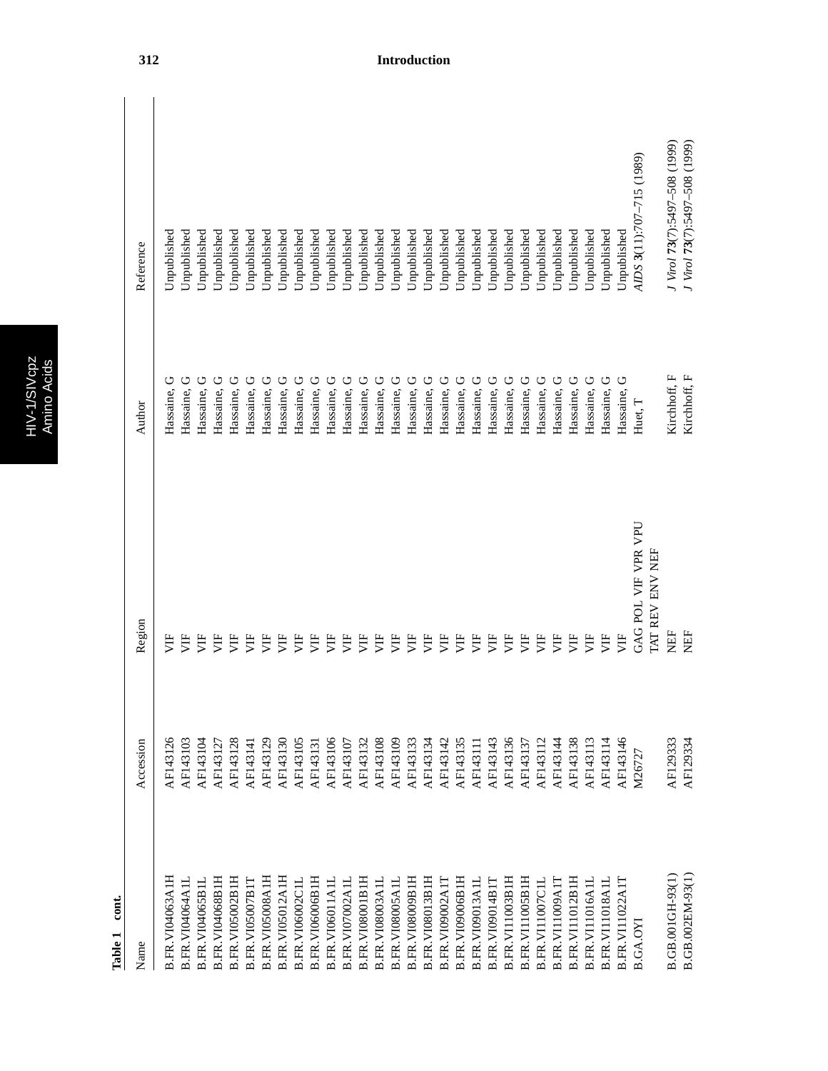|   | Ď |
|---|---|
| ¢ |   |
|   |   |
|   | г |
|   |   |

 $\frac{2}{5}$ 

| Accession | Region              | Author                        | Reference                     |
|-----------|---------------------|-------------------------------|-------------------------------|
| AF143126  | ぎ                   | Hassaine, G                   | Unpublished                   |
| AF143103  | 月                   | Hassaine, G                   | Jnpublished                   |
| AF143104  | Ë                   | Hassaine, G                   | Unpublished                   |
| AF143127  | Ë                   | Hassaine, G                   | Unpublished                   |
| AF143128  | うと                  | Hassaine, G                   | Unpublished                   |
| AF143141  | 月                   | Hassaine, G                   | Unpublished                   |
| AF143129  | Ë                   | Hassaine, G                   | Unpublished                   |
| AF143130  | È                   | Hassaine, G                   | Unpublished                   |
| AF143105  | Ë                   | Hassaine, G                   | Unpublished                   |
| AF143131  | Ë                   | Hassaine, G                   | <b>J</b> npublished           |
| AF143106  | Ë                   | Hassaine, G                   | <b>J</b> npublished           |
| AF143107  | Ë                   | Hassaine, G                   | Unpublished                   |
| AF143132  | Ë                   | Hassaine, G                   | Unpublished                   |
| AF143108  | Ë                   | Hassaine, G                   | Unpublished                   |
| AF143109  | Ë                   | Hassaine, G                   | Unpublished                   |
| AF143133  | Ë                   | Hassaine, G                   | Unpublished                   |
| AF143134  | уĦ                  | Hassaine, G                   | Unpublished                   |
| AF143142  | 月                   | Hassaine, G                   | Unpublished                   |
| AF143135  | È                   | Hassaine, G                   | <b>J</b> npublished           |
| AF143111  | ŠЕ                  | Hassaine, G                   | <b>J</b> npublished           |
| AF143143  | ŠЕ                  | Hassaine, G                   | Unpublished                   |
| AF143136  | Ë                   | Hassaine, G                   | Unpublished                   |
| AF143137  | Ë                   | Hassaine, G                   | Unpublished                   |
| AF143112  | 罗                   | Hassaine, G                   | Unpublished                   |
| AF143144  | Ë                   | Hassaine, G                   | Unpublished                   |
| AF143138  | È                   | Hassaine, G                   | Unpublished                   |
| AF143113  | 月                   | Hassaine, G                   | <b>J</b> npublished           |
| AF143114  | УË                  | Hassaine, G                   | Jnpublished                   |
| AF143146  | 月                   | Ü<br>Hassaine,                | <b>J</b> npublished           |
| M26727    | GAG POL VIF VPR VPU | Huet, T                       | AIDS 3(11):707-715 (1989)     |
|           |                     |                               |                               |
|           |                     | Kirchhoff, F                  | J Virol 73(7):5497-508 (1999) |
| AF129334  | EF                  | Kirchhoff, F                  | J Virol 73(7):5497-508 (1999) |
|           | AF129333            | <b>I'MT REV ENV NEF</b><br>EF |                               |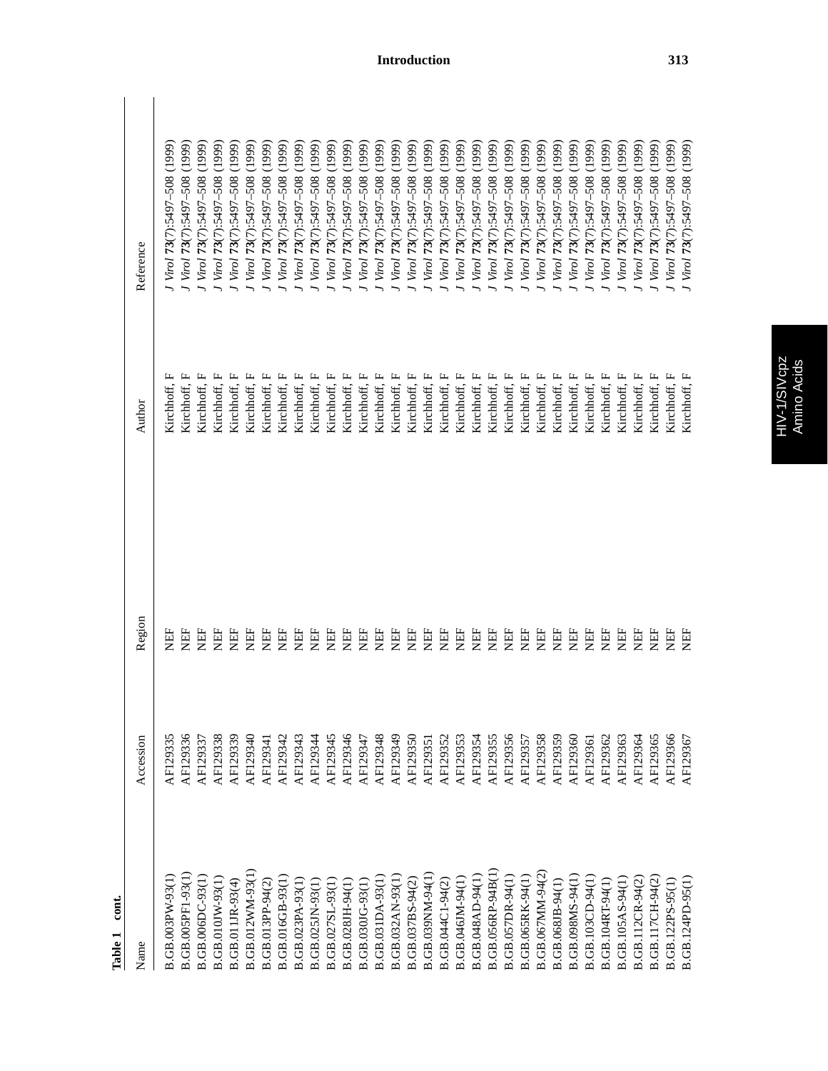| cont.<br>Table 1        |           |        |                 |                                  |
|-------------------------|-----------|--------|-----------------|----------------------------------|
| Name                    | Accession | Region | Author          | Reference                        |
| B.GB.003PW-93(1         | AF129335  | 臣      | щ<br>Kirchhoff, | (1999)<br>J Virol 73(7):5497-508 |
| B.GB.005PF1-93(1)       | AF129336  | Ë      | щ<br>Kirchhoff, | (1999)<br>J Virol 73(7):5497-508 |
| B.GB.006DC-93(1)        | AF129337  | EE     | щ<br>Kirchhoff, | (1999)<br>J Virol 73(7):5497-508 |
| B.GB.010JW-93(1)        | AF129338  | 旨      | щ<br>Kirchhoff, | (1999)<br>J Virol 73(7):5497-508 |
| B.GB.011JR-93(4)        | AF129339  | 旨      | щ<br>Kirchhoff, | (1999)<br>J Virol 73(7):5497-508 |
| B.GB.012WM-93(1)        | AF129340  | 臣      | Kirchhoff, F    | (1999)<br>Virol 73(7):5497-508   |
| B.GB.013PP-94(2)        | AF129341  | EE     | Kirchhoff, F    | (1999)<br>Virol 73(7):5497-508   |
| <b>B.GB.016GB-93(1)</b> | AF129342  | EE     | Kirchhoff, F    | (1999)<br>Virol 73(7):5497-508   |
| B.GB.023PA-93(1)        | AF129343  | EE     | Kirchhoff, F    | (1999)<br>Virol 73(7):5497-508   |
| B.GB.025JN-93(1)        | AF129344  | EE     | Kirchhoff, F    | (1999)<br>Virol 73(7):5497-508   |
| B.GB.027SL-93(1)        | AF129345  | EE     | Kirchhoff, F    | (1999)<br>Virol 73(7):5497-508   |
| B.GB.028JH-94(1)        | AF129346  | EE     | Kirchhoff, F    | (1999)<br>J Virol 73(7):5497-508 |
| B.GB.030JG-93(1)        | AF129347  | 臣      | Kirchhoff, F    | (1999)<br>Virol 73(7):5497-508   |
| B.GB.031DA-93(1)        | AF129348  | EF     | Kirchhoff, F    | (1999)<br>Virol 73(7):5497-508   |
| B.GB.032AN-93(1)        | AF129349  | EE     | Kirchhoff, F    | (1999)<br>Virol 73(7):5497-508   |
| B.GB.037BS-94(2)        | AF129350  | EE     | Kirchhoff, F    | (1999)<br>Virol 73(7):5497-508   |
| B.GB.039NM-94(1)        | AF129351  | EH     | Kirchhoff, F    | (1999)<br>Virol 73(7):5497-508   |
| B.GB.044C1-94(2)        | AF129352  | EE     | Kirchhoff, F    | (1999)<br>Virol 73(7):5497-508   |
| B.GB.046JM-94(1)        | AF129353  | EE     | Kirchhoff, F    | (1999)<br>Virol 73(7):5497-508   |
| B.GB.048AD-94(1)        | AF129354  | EF     | Kirchhoff, F    | (1999)<br>Virol 73(7):5497-508   |
| B.GB.056RP-94B(1)       | AF129355  | EF     | Kirchhoff, F    | (1999)<br>Virol 73(7):5497-508   |
| B.GB.057DR-94(1)        | AF129356  | EF     | Kirchhoff, F    | (1999)<br>Virol 73(7):5497-508   |
| B.GB.065RK-94(1)        | AF129357  | 日      | Kirchhoff, F    | (1999)<br>Virol 73(7):5497-508   |
| B.GB.067MM-94(2)        | AF129358  | EF     | Kirchhoff, F    | (1999)<br>Virol 73(7):5497-508   |
| B.GB.068JB-94(1)        | AF129359  | EF     | Kirchhoff, F    | (1999)<br>Virol 73(7):5497-508   |
| B.GB.098MS-94(1         | AF129360  | EE     | Kirchhoff, F    | (1999)<br>Virol 73(7):5497-508   |
| B.GB.103CD-94(1)        | AF129361  | EF     | Kirchhoff, F    | (1999)<br>Virol 73(7):5497-508   |
| B.GB.104RT-94(1)        | AF129362  | EF     | Kirchhoff, F    | (1999)<br>Virol 73(7):5497-508   |
| B.GB.105AS-94(1)        | AF129363  | EE     | Kirchhoff, F    | (1999)<br>Virol 73(7):5497-508   |
| B.GB.112CR-94(2)        | AF129364  | EE     | Kirchhoff, F    | (1999)<br>Virol 73(7):5497-508   |
| B.GB.117CH-94(2)        | AF129365  | 臣      | Kirchhoff, F    | (1999)<br>Virol 73(7):5497-508   |
| B.GB.122PS-95(1)        | AF129366  | EE     | Kirchhoff, F    | (1999)<br>Virol 73(7):5497-508   |
| B.GB.124PD-95(1)        | AF129367  | EF     | Kirchhoff, F    | (1999)<br>Virol 73(7):5497-508   |
|                         |           |        |                 |                                  |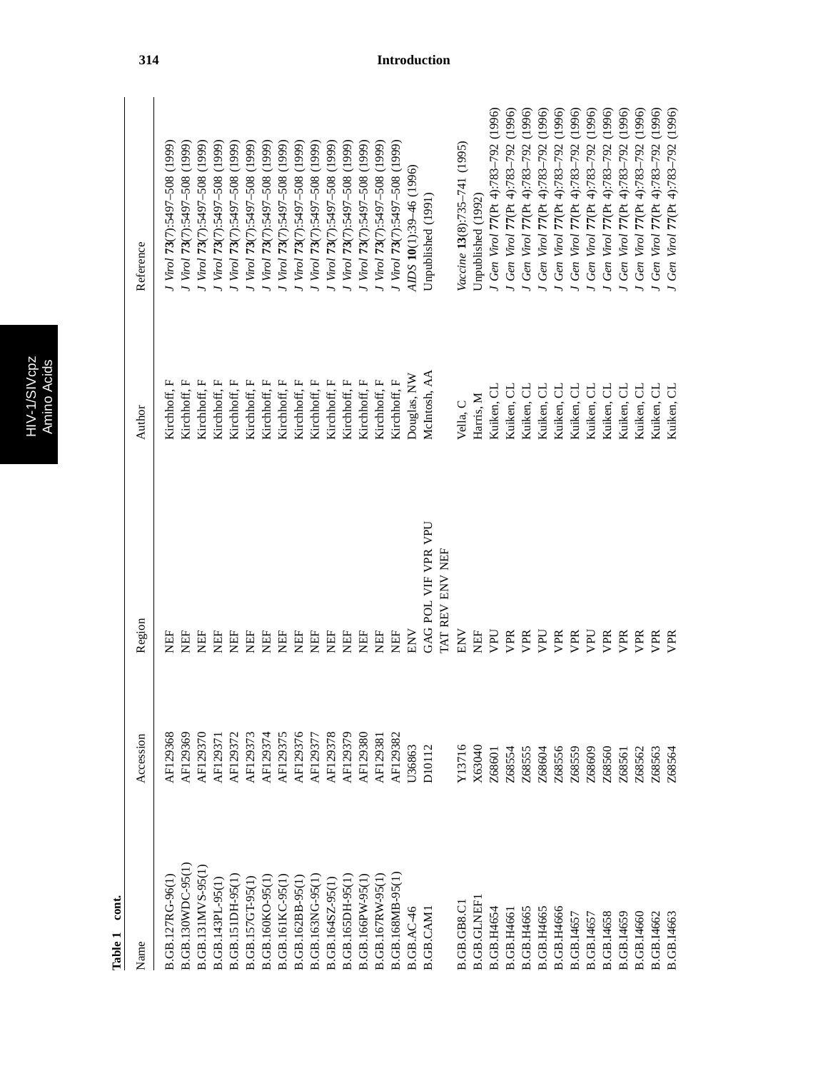| p<br>ò<br>г |  |
|-------------|--|
| г           |  |
| Ú           |  |
|             |  |
|             |  |

 $\overline{N}$ 

| Name                    | Accession     | Region              | Author       | Reference                               |
|-------------------------|---------------|---------------------|--------------|-----------------------------------------|
|                         |               |                     |              |                                         |
| B.GB.127RG-96(1)        | AF129368      | <b>FEN</b>          | Kirchhoff, F | J Virol 73(7):5497-508 (1999)           |
| B.GB.130WDC-95(1)       | AF129369      | <b>HEL</b>          | Kirchhoff, F | (1999)<br>J Virol 73(7):5497-508        |
| B.GB.131MVS-95(1        | AF129370      | EF                  | Kirchhoff, F | (1999)<br>J Virol 73(7):5497-508        |
| B.GB.143PL-95(1)        | AF12937       | Ë                   | Kirchhoff, F | (1999)<br>J Virol 73(7):5497-508        |
| <b>B.GB.151DH-95(1</b>  | AF129372      | <b>HEL</b>          | Kirchhoff, F | (1999)<br>J Virol 73(7):5497-508        |
| B.GB.157GT-95(1)        | AF129373      | 岜                   | Kirchhoff, F | (1999)<br>Virol 73(7):5497-508          |
| B.GB.160KO-95(1         | AF129374      | EH                  | Kirchhoff, F | (1999)<br>Virol 73(7):5497-508          |
| <b>B.GB.161KC-95(1)</b> | AF129375      | EH                  | Kirchhoff, F | (1999)<br>Virol 73(7):5497-508          |
| B.GB.162BB-95(1)        | AF129376      | <b>HEL</b>          | Kirchhoff, F | (1999)<br>J Virol 73(7):5497-508        |
| B.GB.163NG-95(1         | AF129377      | EE                  | Kirchhoff, F | (1999)<br>J Virol 73(7):5497-508        |
| B.GB.164SZ-95(1)        | AF129378      | EH                  | Kirchhoff, F | (1999)<br>J Virol 73(7):5497-508        |
| <b>B.GB.165DH-95(1)</b> | AF129379      | EE                  | Kirchhoff, F | Virol 73(7):5497-508 (1999)             |
| B.GB.166PW-95(1)        | AF129380      | EE                  | Kirchhoff, F | Virol 73(7):5497-508 (1999)             |
| B.GB.167RW-95(1         | AF129381      | EF                  | Kirchhoff, F | J Virol 73(7):5497-508 (1999)           |
| B.GB.168MB-95(1)        | AF129382      | <b>ER</b>           | Kirchhoff, F | J Virol 73(7):5497-508 (1999)           |
| <b>B.GB.AC-46</b>       | J36863        | <b>NN</b>           | Douglas, NW  | AIDS 10(1):39-46 (1996)                 |
| B.GB.CAMI               | <b>D10112</b> | GAG POL VIF VPR VPU | McIntosh, AA | Unpublished (1991)                      |
|                         |               | TAT REV ENV NEF     |              |                                         |
| B.GB.GB8.C              | Y13716        | <b>NET</b>          | Vella, C     | Vaccine 13(8):735-741 (1995)            |
| <b>B.GB.GLNEF</b>       | X63040        | 臣<br>X              | Harris, M    | Unpublished (1992)                      |
| B.GB.H4654              | Z68601        | UŁN                 | Kuiken, CL   | (1996)<br>J Gen Virol 77 (Pt 4):783-792 |
| B.GB.H4661              | Z68554        | VPR                 | Kuiken, CL   | (1996)<br>Gen Virol 77(Pt 4):783-792    |
| <b>B.GB.H4665</b>       | Z68555        | VPR                 | Kuiken, CL   | (1996)<br>Gen Virol 77(Pt 4):783-792    |
| <b>B.GB.H4665</b>       | Z68604        | <b>Da</b>           | Kuiken, CL   | (1996)<br>Gen Virol 77 (Pt 4):783-792   |
| <b>B.GB.H4666</b>       | Z68556        | VPR                 | Kuiken, CL   | (1996)<br>Gen Virol 77(Pt 4):783-792    |
| B.GB.I4657              | Z68559        | VPR                 | Kuiken, CL   | (1996)<br>Gen Virol 77 (Pt 4):783-792   |
| B.GB.I4657              | Z68609        | DdA                 | Kuiken, CL   | (1996)<br>Gen Virol 77 (Pt 4):783-792   |
| B.GB.I4658              | Z68560        | VPR                 | Kuiken, CL   | (1996)<br>Gen Virol 77 (Pt 4):783-792   |
| B.GB.I4659              | Z68561        | VPR                 | Kuiken, CL   | (1996)<br>Gen Virol 77(Pt 4):783-792    |
| B.GB.I4660              | Z68562        | VPR                 | Kuiken, CL   | (1996)<br>Gen Virol 77(Pt 4):783-792    |
| B.GB.I4662              | Z68563        | VPR                 | Kuiken, CL   | (1996)<br>Gen Virol 77(Pt 4):783-792    |
| B.GB.I4663              | 268564        | <b>VPR</b>          | Kuiken, CL   | (1996)<br>Gen Virol 77(Pt 4):783-792    |
|                         |               |                     |              |                                         |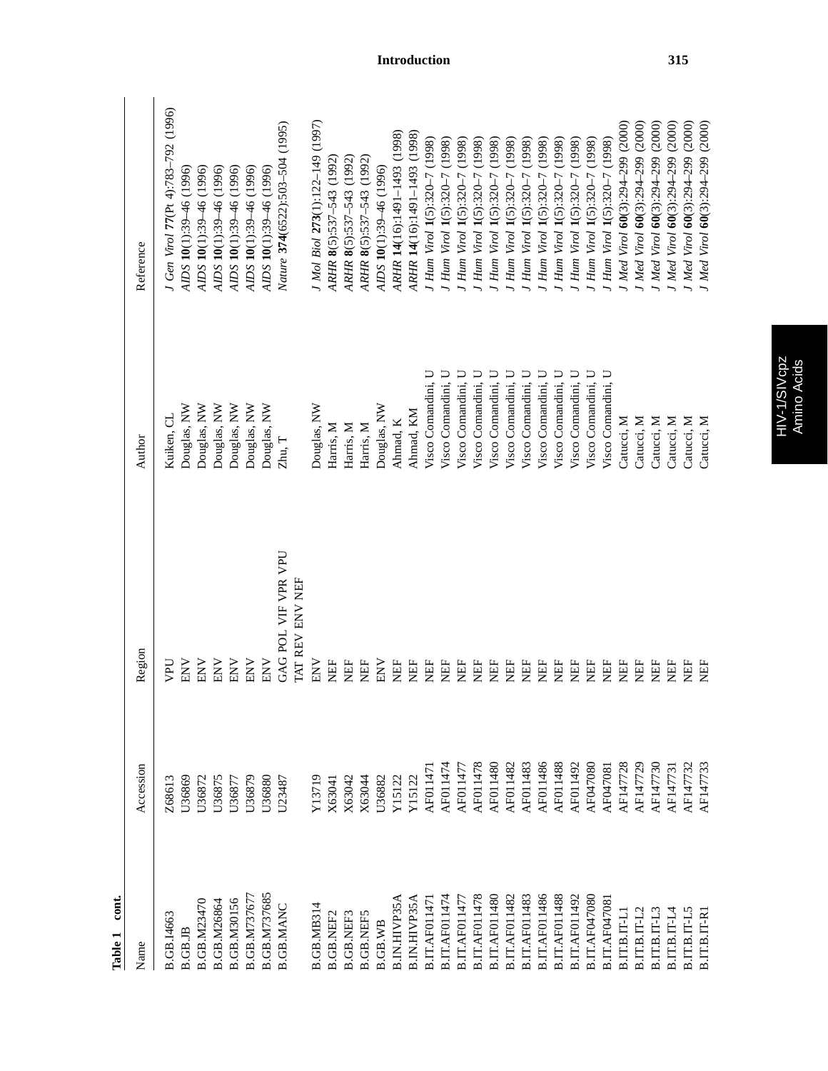| cont.<br>Table 1     |           |                         |                    |                                     |
|----------------------|-----------|-------------------------|--------------------|-------------------------------------|
| Name                 | Accession | Region                  | Author             | Reference                           |
| B.GB.I4663           | Z68613    | UPU                     | Kuiken, CL         | I Gen Virol 77(Pt 4):783-792 (1996) |
| B.GB.JB              | U36869    | <b>NN</b>               | Douglas, NW        | AIDS 10(1):39-46 (1996)             |
| <b>B.GB.M23470</b>   | U36872    | <b>NN</b>               | Douglas, NW        | AIDS 10(1):39-46 (1996)             |
| <b>B.GB.M26864</b>   | U36875    | <b>NNE</b>              | Douglas, NW        | AIDS 10(1):39-46 (1996)             |
| <b>B.GB.M30156</b>   | U36877    | <b>NNE</b>              | Douglas, NW        | AIDS 10(1):39-46 (1996)             |
| <b>B.GB.M737677</b>  | U36879    | ENV                     | Douglas, NW        | AIDS 10(1):39-46 (1996)             |
| B.GB.M737685         | U36880    | ENV                     | Douglas, NW        | AIDS 10(1):39-46 (1996)             |
| <b>B.GB.MANC</b>     | U23487    | GAG POL VIF VPR VPU     | Zhu, T             | Nature 374(6522):503-504 (1995)     |
|                      |           | <b>I'AT REV ENV NEF</b> |                    |                                     |
| <b>B.GB.MB314</b>    | Y13719    | <b>NET</b>              | Douglas, NW        | J Mol Biol 273(1):122-149 (1997)    |
| <b>B.GB.NEF2</b>     | X63041    | EE                      | Harris, M          | ARHR 8(5):537-543 (1992             |
| <b>B.GB.NEF3</b>     | X63042    | EE                      | Harris, M          | ARHR 8(5):537-543 (1992)            |
| <b>B.GB.NEF5</b>     | X63044    | NEF                     | Harris, M          | ARHR 8(5):537-543 (1992)            |
| <b>B.GB.WB</b>       | U36882    | <b>NNE</b>              | Douglas, NW        | AIDS 10(1):39-46 (1996)             |
| <b>B.IN.HIVP35A</b>  | Y15122    | NEF                     | Ahmad, K           | ARHR 14(16):1491-1493 (1998)        |
| <b>B.IN.HIVP35A</b>  | Y15122    | EF                      | Ahmad, KM          | ARHR 14(16):1491-1493 (1998)        |
| B.IT.AF01147         | AF01147   | EF                      | Visco Comandini, U | J Hum Virol 1(5):320-7 (1998)       |
| B.IT.AF011474        | AF011474  | EF                      | Visco Comandini, U | J Hum Virol 1(5):320-7 (1998)       |
| B.IT.AF011477        | AF011477  | EF                      | Visco Comandini, U | J Hum Virol 1(5):320-7 (1998)       |
| <b>B.IT.AF011478</b> | AF011478  | EF                      | Visco Comandini, U | J Hum Virol 1(5):320-7 (1998)       |
| B.IT.AF011480        | AF011480  | <b>HEL</b>              | Visco Comandini, U | J Hum Virol 1(5):320-7 (1998)       |
| B.IT.AF011482        | AF011482  | EF                      | Visco Comandini, U | I Hum Virol 1(5):320-7 (1998)       |
| B.IT.AF011483        | AF011483  | EF                      | Visco Comandini, U | J Hum Virol 1(5):320-7 (1998)       |
| B.IT.AF011486        | AF011486  | EF                      | Visco Comandini, U | J Hum Virol 1(5):320-7 (1998)       |
| B.IT.AF011488        | AF011488  | <b>NEF</b>              | Visco Comandini, U | J Hum Virol 1(5):320-7 (1998)       |
| B.IT.AF011492        | AF011492  | <b>EE</b>               | Visco Comandini, U | J Hum Virol 1(5):320-7 (1998)       |
| B.IT.AF047080        | AF047080  | <b>EE</b>               | Visco Comandini, U | J Hum Virol 1(5):320-7 (1998)       |
| <b>B.IT.AF04708</b>  | AF047081  | <b>EE</b>               | Visco Comandini, U | J Hum Virol 1(5):320-7 (1998)       |
| <b>B.IT.B.IT-L</b>   | AF147728  | E                       | Catucci, M         | I Med Virol 60(3):294-299 (2000)    |
| B.IT.B.IT-L2         | AF147729  | E                       | Catucci, M         | I Med Virol 60(3):294-299 (2000)    |
| $B.IT.B.IT-L3$       | AF147730  | E                       | Catucci, M         | I Med Virol 60(3):294-299 (2000)    |
| $B.IT.B.IT-L4$       | AF14773   | E                       | Catucci, M         | I Med Virol 60(3):294-299 (2000)    |
| B.IT.B.IT-L5         | AF147732  | EE                      | Catucci, M         | Med Virol 60(3):294-299 (2000)      |
| $B.T.T.B.T-P.$       | AF147733  | EE                      | Catucci, M         | I Med Virol 60(3):294-299 (2000)    |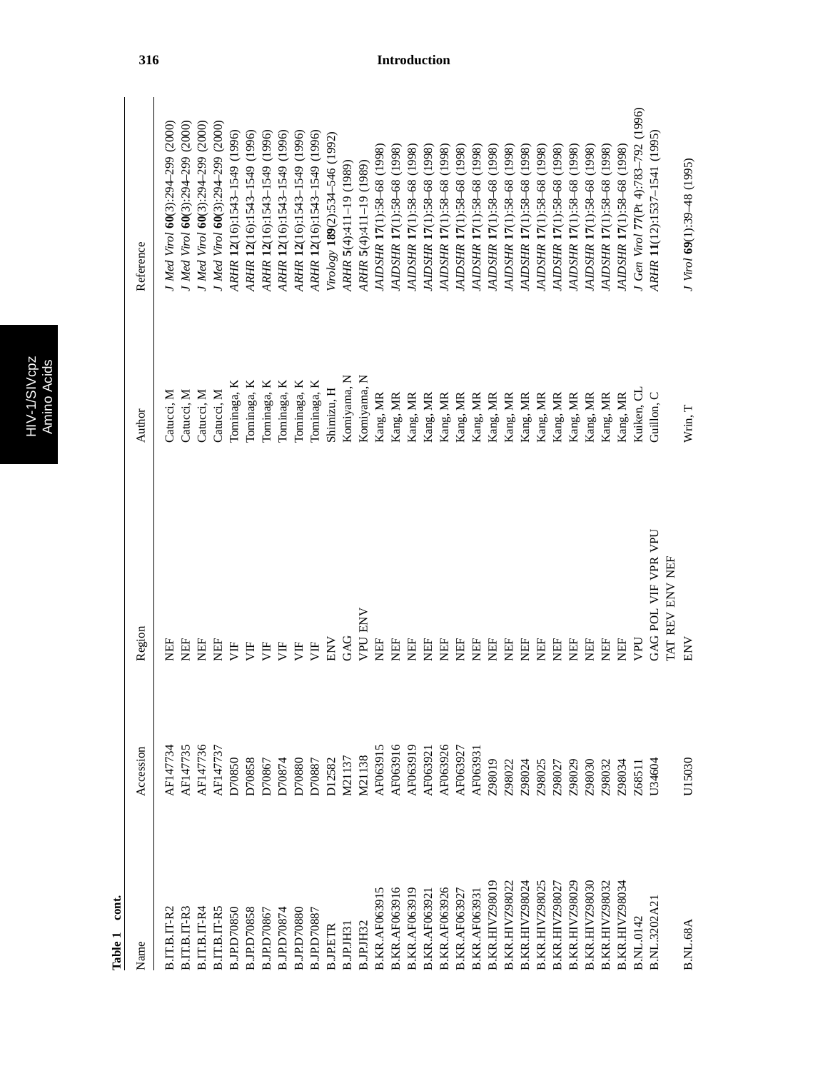| r.<br>U. |  |
|----------|--|
|          |  |
|          |  |
|          |  |
| г        |  |

| Name                  | Accession     | Region                 | Author       | Reference                           |
|-----------------------|---------------|------------------------|--------------|-------------------------------------|
| B.IT.B.IT-R2          | AF147734      | EF                     | Catucci, M   | J Med Virol 60(3):294-299 (2000)    |
| $B.T.T.B.T-R3$        | AF147735      | EF                     | Catucci, M   | J Med Virol 60(3):294-299 (2000)    |
| $B.IT.B.IT-R4$        | AF147736      | EF                     | Catucci, M   | J Med Virol 60(3):294-299 (2000)    |
| B.IT.B.IT-R5          | AF147737      | EF                     | Catucci, M   | J Med Virol 60(3):294-299 (2000)    |
| <b>B.JP.D70850</b>    | D70850        | Ë                      | Tominaga, K  | ARHR 12(16):1543-1549 (1996)        |
| <b>B.JP.D70858</b>    | D70858        | Ë                      | Tominaga, K  | ARHR 12(16):1543-1549 (1996)        |
| B.JP.D70867           | D70867        | 月                      | Tominaga, K  | ARHR 12(16):1543-1549 (1996)        |
| B.JP.D70874           | D70874        | 月                      | Tominaga, K  | ARHR 12(16):1543-1549 (1996)        |
| B.JP.D70880           | D70880        | 月                      | Tominaga, K  | ARHR 12(16):1543-1549 (1996)        |
| 3.JP.D70887           | D70887        | УF                     | l'ominaga, K | ARHR 12(16):1543-1549 (1996)        |
| <b>B.JP.ETR</b>       | <b>D12582</b> | NNE                    | Shimizu, H   | Virology 189(2):534-546 (1992)      |
| B.JP.JH3              | M21137        | GAG                    | Komiyama, N  | ARHR 5(4):411-19 (1989)             |
| B.JP.JH32             | M21138        | <b>VPU ENV</b>         | Komiyama, N  | ARHR 5(4):411-19 (1989)             |
| <b>B.KR.AF063915</b>  | AF063915      | EF                     | Kang, MR     | JAIDSHR 17(1):58-68 (1998)          |
| <b>B.KR.AF063916</b>  | AF063916      | EF                     | Kang, MR     | JAIDSHR 17(1):58-68 (1998)          |
| <b>B.KR.AF063919</b>  | AF063919      | EH                     | Kang, MR     | JAIDSHR 17(1):58-68 (1998)          |
| <b>B.KR.AF06392</b>   | AF06392       | EE                     | Kang, MR     | JAIDSHR 17(1):58-68 (1998)          |
| <b>B.KR.AF063926</b>  | AF063926      | EF                     | Kang, MR     | JAIDSHR 17(1):58-68 (1998)          |
| <b>B.KR.AF06392</b>   | AF06392       | EF                     | Kang, MR     | JAIDSHR 17(1):58-68 (1998)          |
| <b>B.KR.AF06393</b>   | AF06393       | EE                     | Kang, MR     | JAIDSHR 17(1):58-68 (1998)          |
| <b>B.KR.HIVZ98019</b> | Z98019        | EF                     | Kang, MR     | (1998)<br>JAIDSHR 17(1):58-68       |
| <b>B.KR.HIVZ98022</b> | Z98022        | EF                     | Kang, MR     | (1998)<br>JAIDSHR 17(1):58-68       |
| <b>B.KR.HIVZ98024</b> | Z98024        | EF                     | Kang, MR     | (1998)<br>JAIDSHR 17(1):58-68       |
| <b>B.KR.HIVZ98025</b> | Z98025        | EF                     | Kang, MR     | JAIDSHR 17(1):58-68 (1998)          |
| <b>B.KR.HIVZ98027</b> | Z98027        | EF                     | Kang, MR     | JAIDSHR 17(1):58-68 (1998)          |
| <b>B.KR.HIVZ98029</b> | Z98029        | EF                     | Kang, MR     | IAIDSHR 17(1):58-68 (1998)          |
| <b>B.KR.HIVZ98030</b> | Z98030        | <b>NEF</b>             | Kang, MR     | JAIDSHR 17(1):58-68 (1998)          |
| <b>B.KR.HIVZ98032</b> | Z98032        | <b>NEF</b>             | Kang, MR     | JAIDSHR 17(1):58-68 (1998)          |
| <b>B.KR.HIVZ98034</b> | Z98034        | EF                     | Kang, MR     | JAIDSHR 17(1):58-68 (1998)          |
| B.NL.0142             | Z68511        | UAN                    | Kuiken, CL   | J Gen Virol 77(Pt 4):783-792 (1996) |
| B.NL.3202A2           | U34604        | GAG POL VIF VPR VPU    | Guillon. C   | ARHR 11(12):1537-1541 (1995)        |
|                       |               | <b>IAT REV ENV NEF</b> |              |                                     |
| <b>B.NL.68A</b>       | U15030        | ENV                    | Wrin, T      | J Virol 69(1):39-48 (1995)          |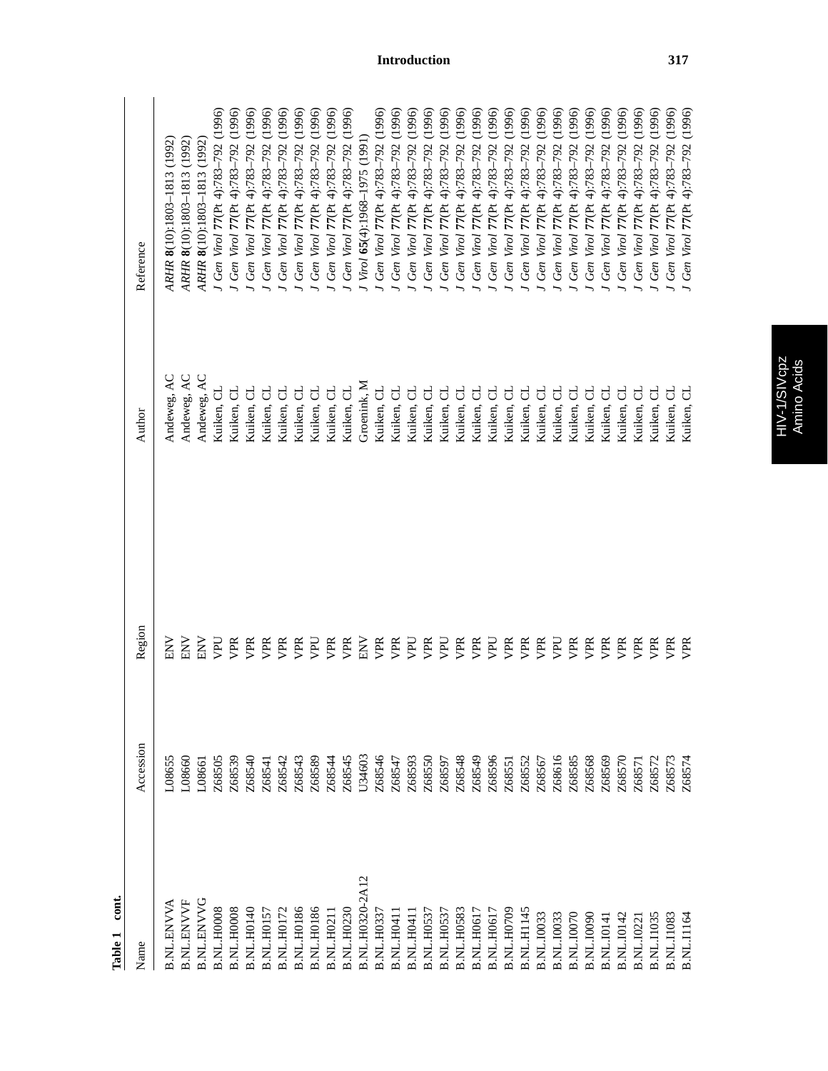| Name              | Accession | Region     | Author      | Reference                                 |
|-------------------|-----------|------------|-------------|-------------------------------------------|
| B.NL.ENVVA        | L08655    | <b>NN</b>  | Andeweg, AC | ARHR 8(10):1803-1813 (1992)               |
| <b>B.NL.ENVYF</b> | L08660    | <b>NN</b>  | Andeweg, AC | ARHR 8(10):1803-1813 (1992)               |
| <b>B.NL.ENVVC</b> | L08661    | <b>ENV</b> | Andeweg, AC | ARHR 8(10):1803-1813 (1992)               |
| <b>B.NL.H0008</b> | Z68505    | <b>Dd</b>  | Kuiken, CL  | J Gen Virol 77 (Pt 4):783-792 (1996)      |
| B.NL.H0008        | Z68539    | VPR        | Kuiken, CL  | J Gen Virol 77 (Pt 4):783-792 (1996)      |
| <b>B.NL.H0140</b> | Z68540    | VPR        | Kuiken, CL  | J Gen Virol 77 (Pt 4):783-792 (1996)      |
| B.NL.H0157        | Z68541    | VPR        | Kuiken, CL  | J Gen Virol 77 (Pt 4):783-792 (1996)      |
| <b>B.NL.H0172</b> | Z68542    | VPR        | Kuiken, CL  | J Gen Virol 77 (Pt 4):783-792 (1996)      |
| <b>B.NL.H0186</b> | Z68543    | VPR        | Kuiken, CL  | Gen Virol 77(Pt 4):783-792 (1996)         |
| <b>B.NL.H0186</b> | Z68589    | <b>Dd</b>  | Kuiken, CL  | Gen Virol $77$ (Pt 4):783-792 (1996)      |
| <b>B.NL.H021</b>  | Z68544    | VPR        | Kuiken, CL  | J Gen Virol 77 (Pt 4):783-792 (1996)      |
| <b>B.NL.H0230</b> | Z68545    | VPR        | Kuiken, CL  | J Gen Virol 77 (Pt 4):783-792 (1996)      |
| B.NL.H0320-2A12   | U34603    | <b>NN</b>  | Groenink, N | J Virol 65(4):1968-1975 (1991)            |
| <b>B.NL.H0337</b> | Z68546    | VPR        | Kuiken, CL  | J Gen Virol 77 (Pt 4):783-792 (1996)      |
| <b>B.NL.H041</b>  | Z68547    | yPR        | Kuiken, CL  | (1996)<br>J Gen Virol 77 (Pt 4):783-792   |
| <b>B.NL.H041</b>  | Z68593    | UdA        | Kuiken, CL  | (1996)<br>J Gen Virol 77 (Pt 4):783-792   |
| <b>B.NL.H053</b>  | Z68550    | VPR        | Kuiken, CL  | (1996)<br>J Gen Virol 77 (Pt 4):783-792   |
| B.NL.H0537        | Z68597    | <b>Dar</b> | Kuiken, CL  | Gen Virol 77 (Pt 4):783-792 (1996)        |
| <b>B.NL.H0583</b> | Z68548    | ypr        | Kuiken, CL  | Gen Virol 77 (Pt 4):783-792 (1996)        |
| B.NL.H0617        | Z68549    | VPR        | Kuiken, CL  | (1996)<br>77(Pt 4):783-792<br>Gen Virol   |
| B.NL.H0617        | Z68596    | Dd         | Kuiken, CL  | (1996)<br>77(Pt 4):783-792<br>Gen Virol   |
| <b>B.NL.H0709</b> | Z68551    | ypr        | Kuiken, CL  | (1996)<br>77 (Pt 4):783-792<br>Gen Virol  |
| <b>B.NL.H1145</b> | Z68552    | VPR        | Kuiken, CL  | (1996)<br>77(Pt 4):783-792<br>Gen Virol   |
| <b>B.NL.I0033</b> | Z68567    | yPR        | Kuiken, CL  | (1996)<br>77(Pt 4):783-792<br>J Gen Virol |
| B.NL.I0033        | Z68616    | UqA        | Kuiken, CL  | (1996)<br>J Gen Virol 77 (Pt 4):783-792   |
| <b>B.NL.I0070</b> | Z68585    | VPR        | Kuiken, CL  | (1996)<br>J Gen Virol 77 (Pt 4):783-792   |
| <b>B.NL.10090</b> | Z68568    | VPR        | Kuiken, CL  | (1996)<br>J Gen Virol 77 (Pt 4):783-792   |
| <b>B.NL.I014</b>  | Z68569    | VPR        | Kuiken, CL  | (1996)<br>J Gen Virol 77 (Pt 4):783-792   |
| B.NL.I0142        | Z68570    | VPR        | Kuiken, CL  | Gen Virol 77 (Pt 4):783-792 (1996)        |
| <b>B.NL.I022</b>  | Z68571    | VPR        | Kuiken, CL  | (1996)<br>Gen Virol 77(Pt 4):783-792      |
| <b>B.NL.I1035</b> | Z68572    | <b>VPR</b> | Kuiken, CL  | (1996)<br>Gen Virol 77 (Pt 4):783-792     |
| <b>B.NL.I1083</b> | Z68573    | VPR        | Kuiken, CL  | (1996)<br>J Gen Virol 77 (Pt 4):783-792   |
| B.NL.I1164        | Z68574    | VPR        | Kuiken, CL  | J Gen Virol 77 (Pt 4):783-792 (1996)      |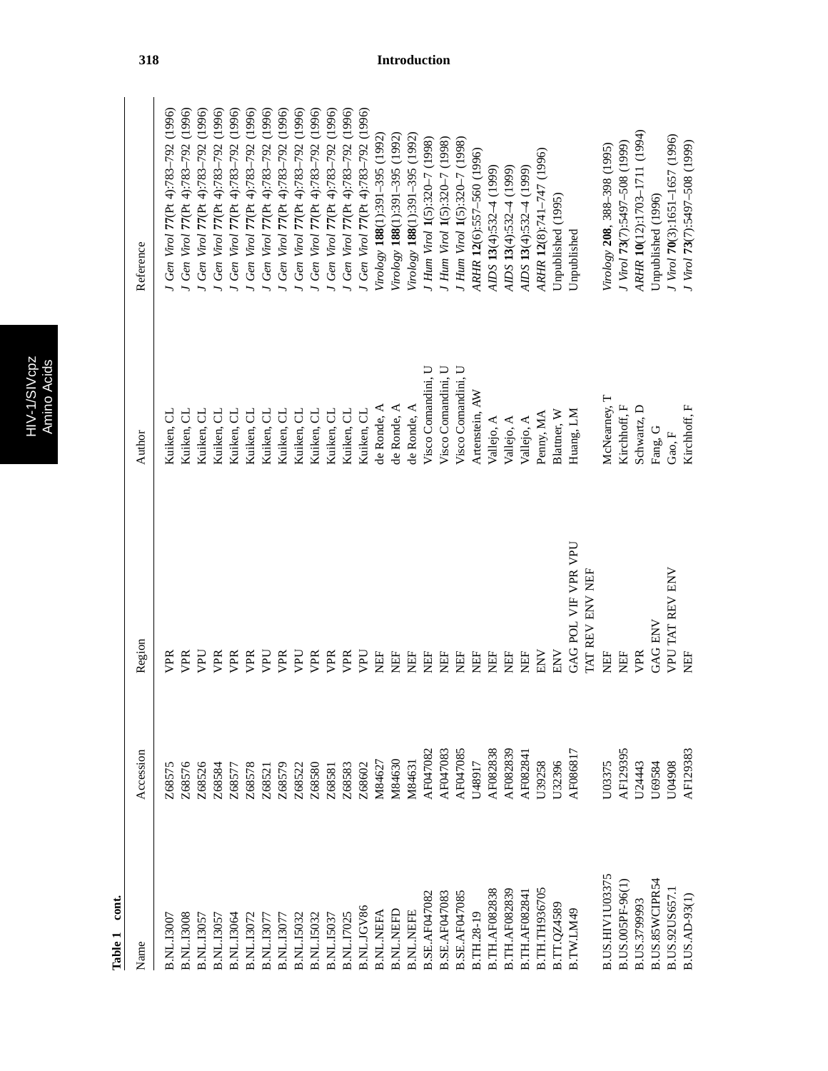|   | n<br>í |
|---|--------|
|   |        |
| ω | 7      |
|   |        |
|   |        |
|   | ٦      |

| Name                   | Accession | Region              | Author             | Reference                             |
|------------------------|-----------|---------------------|--------------------|---------------------------------------|
| <b>B.NL.I300</b>       | Z68575    | <b>DR</b>           | Kuiken, CL         | Gen Virol 77(Pt 4):783-792 (1996)     |
| 3.NL.I3008             | Z68576    | <b>SER</b>          | Kuiken, CL         | Gen Virol 77 (Pt 4):783-792 (1996)    |
| 3.NL.I305              | Z68526    | <b>Dal</b>          | Kuiken, CL         | (1996)<br>Gen Virol 77(Pt 4):783-792  |
| 3.NL.I305              | Z68584    | VPR                 | Kuiken, CL         | (1996)<br>Gen Virol 77(Pt 4):783-792  |
| 3.NL.I3064             | Z68577    | VPR                 | ರ<br>Kuiken,       | (1996)<br>Gen Virol 77(Pt 4):783-792  |
| <b>B.NL.I3072</b>      | Z68578    | VPR                 | ರ<br>Kuiken,       | (1996)<br>Gen Virol 77 (Pt 4):783-792 |
| B.NL.I307              | Z68521    | <b>Dd</b>           | ರ<br>Kuiken,       | (1996)<br>Gen Virol 77(Pt 4):783-792  |
| 3.NL.I307              | Z68579    | VPR                 | Kuiken, CL         | (1996)<br>Gen Virol 77(Pt 4):783-792  |
| 3.NL.I5032             | Z68522    | Dar                 | Kuiken, CL         | (1996)<br>Gen Virol 77(Pt 4):783-792  |
| 3.NL.I5032             | Z68580    | VPR                 | Kuiken, CL         | (1996)<br>Gen Virol 77 (Pt 4):783-792 |
| 3.NL.I503              | Z68581    | VPR                 | Kuiken, CL         | Gen Virol 77(Pt 4):783-792 (1996)     |
| 3.NL.I7025             | Z68583    | VPR                 | Kuiken, CL         | Gen Virol 77 (Pt 4):783-792 (1996)    |
| 3.NL.JGV86             | Z68602    | <b>Da</b>           | Kuiken, CL         | Gen Virol 77 (Pt 4):783-792 (1996)    |
| 3.NL.NEFA              | M84627    | EF                  | de Ronde, A        | Virology 188(1):391-395 (1992)        |
| <b>B.NL.NEFD</b>       | M84630    | NEF                 | de Ronde, A        | Virology 188(1):391-395 (1992)        |
| <b>B.NL.NEFE</b>       | M84631    | E                   | de Ronde, A        | Virology 188(1):391-395 (1992)        |
| <b>B.SE.AF047082</b>   | AF047082  | E                   | Visco Comandini, U | J Hum Virol 1(5):320-7 (1998)         |
| <b>B.SE.AF047083</b>   | AF047083  | <b>HEN</b>          | Visco Comandini, U | J Hum Virol 1(5):320-7 (1998)         |
| 3.SE.AF047085          | AF047085  | <b>HEN</b>          | Visco Comandini, U | J Hum Virol 1(5):320-7 (1998)         |
| B.TH.28-19             | U48917    | EF                  | Artenstein, AW     | ARHR 12(6):557-560 (1996)             |
| <b>B.TH.AF082838</b>   | AF082838  | EE                  | Vallejo, A         | AIDS $13(4)$ :532–4 (199)             |
| <b>B.TH.AF082839</b>   | AF082839  | <b>HEN</b>          | Vallejo, A         | AIDS $13(4)$ :532-4 (1999)            |
| 3.TH.AF08284           | AF082841  | <b>HEN</b>          | Vallejo, A         | AIDS $13(4)$ :532-4 (199)             |
| <b>B.TH.TH936705</b>   | J39258    | ENV                 | Penny, MA          | ARHR 12(8):741-747 (1996)             |
| B.TT.QZ4589            | U32396    | <b>NN</b>           | Blattner, W        | Unpublished (1995)                    |
| 8.TW.LM49              | AF086817  | GAG POL VIF VPR VPU | Huang, LM          | Unpublished                           |
|                        |           | TAT REV ENV NEF     |                    |                                       |
| <b>B.US.HIVIU03375</b> | J03375    | EE                  | McNearney, T       | Virology 208, 388-398 (1995)          |
| B.US.005PF-96(1        | AF129395  | Ë                   | Kirchhoff, F       | J Virol 73(7):5497-508 (1999)         |
| B.US.3799993           | U24443    | VPR                 | Schwartz, D        | ARHR 10(12):1703-1711 (1994)          |
| B.US.85WCIPR54         | J69584    | GAG ENV             | Fang, G            | Unpublished (1996)                    |
| B.US.92US657.1         | U04908    | VPU TAT REV ENV     | Gao, $F$           | J Virol 70(3):1651-1657 (1996)        |
| B.US.AD-93(1)          | AF129383  | EF                  | Kirchhoff, F       | J Virol 73(7):5497-508 (1999)         |
|                        |           |                     |                    |                                       |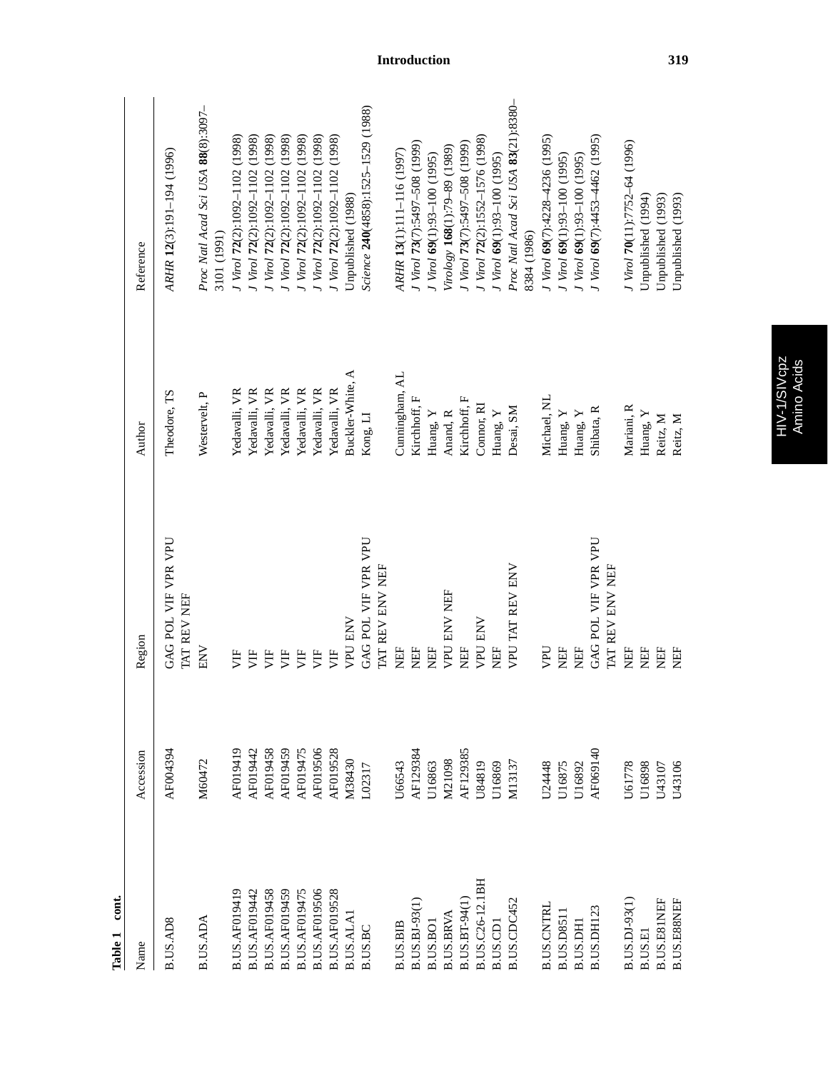| cont.<br>Table 1     |               |                                        |                  |                                                    |
|----------------------|---------------|----------------------------------------|------------------|----------------------------------------------------|
| Name                 | Accession     | Region                                 | Author           | Reference                                          |
| B.US.AD8             | AF004394      | GAG POL VIF VPR VPU<br>TAT REV NEF     | Theodore, TS     | ARHR 12(3):191-194 (1996)                          |
| B.US.ADA             | M60472        | NEI                                    | Westervelt, P    | Proc Natl Acad Sci USA 88(8):3097-<br>3101 (1991)  |
| B.US.AF019419        | AF019419      | 月                                      | Yedavalli, VR    | J Virol 72(2):1092-1102 (1998)                     |
| B.US.AF019442        | AF019442      | УF                                     | Yedavalli, VR    | J Virol 72(2):1092-1102 (1998)                     |
| <b>B.US.AF019458</b> | AF019458      | Ë                                      | Yedavalli, VR    | J Virol 72(2):1092-1102 (1998)                     |
| B.US.AF019459        | AF019459      | Ë                                      | Yedavalli, VR    | J Virol 72(2):1092-1102 (1998)                     |
| <b>B.US.AF019475</b> | AF019475      | 月                                      | Yedavalli, VR    | J Virol 72(2):1092-1102 (1998)                     |
| <b>B.US.AF019506</b> | AF019506      | УF                                     | Yedavalli, VR    | J Virol 72(2):1092-1102 (1998)                     |
| <b>B.US.AF019528</b> | AF019528      | 月                                      | Yedavalli, VR    | J Virol 72(2):1092-1102 (1998)                     |
| B.US.ALAI            | M38430        | <b>VPU ENV</b>                         | Buckler-White, A | Unpublished (1988)                                 |
| B.US.BC              | L02317        | GAG POL VIF VPR VPU                    | Kong, LI         | Science 240(4858):1525-1529 (1988)                 |
|                      |               | TAT REV ENV NEF                        |                  |                                                    |
| <b>B.US.BIB</b>      | U66543        | Ë                                      | Cunningham, AL   | ARHR 13(1):111-116 (1997)                          |
| <b>B.US.BJ-93(1</b>  | AF129384      | ËF                                     | Kirchhoff, F     | J Virol 73(7):5497-508 (1999)                      |
| B.US.BOI             | U16863        | Ë                                      | Huang, Y         | J Virol 69(1):93-100 (1995)                        |
| <b>B.US.BRVA</b>     | <b>M21098</b> | <b>VPU ENV NEF</b>                     | Anand, R         | Virology 168(1):79-89 (1989)                       |
| B.US.BT-94(1         | AF129385      | ËF                                     | Kirchhoff, F     | J Virol 73(7):5497-508 (1999)                      |
| B.US.C26-12.1BH      | U84819        | <b>VPU ENV</b>                         | Connor, RI       | J Virol 72(2):1552-1576 (1998)                     |
| B.US.CDI             | U16869        | 臣                                      | Huang, Y         | J Virol 69(1):93-100 (1995)                        |
| B.US.CDC452          | M13137        | VPU TAT REV ENV                        | Desai, SM        | Proc Natl Acad Sci USA 83(21):8380-<br>8384 (1986) |
| <b>B.US.CNTRI</b>    | U24448        | UAN                                    | Michael, NL      | J Virol 69(7):4228-4236 (1995)                     |
| <b>B.US.D8511</b>    | U16875        | ËF                                     | Huang, Y         | J Virol 69(1):93-100 (1995)                        |
| B.US.DHI             | U16892        | Ë                                      | Huang, Y         | J Virol 69(1):93-100 (1995)                        |
| B.US.DH123           | AF069140      | GAG POL VIF VPR VPU<br>TAT REV ENV NEF | Shibata, R       | J Virol 69(7):4453-4462 (1995)                     |
| B.US.DJ-93(1)        | <b>J61778</b> | Ë                                      | Mariani, R       | J Virol 70(11):7752-64 (1996)                      |
| B.US.EI              | U16898        | EF                                     | Huang, Y         | Unpublished (1994)                                 |
| B.US.E81NEF          | U43107        | EF                                     | Reitz, M         | Unpublished (1993)                                 |
| B.US.E88NEF          | J43106        | Ë                                      | Reitz, M         | Unpublished (1993)                                 |
|                      |               |                                        |                  |                                                    |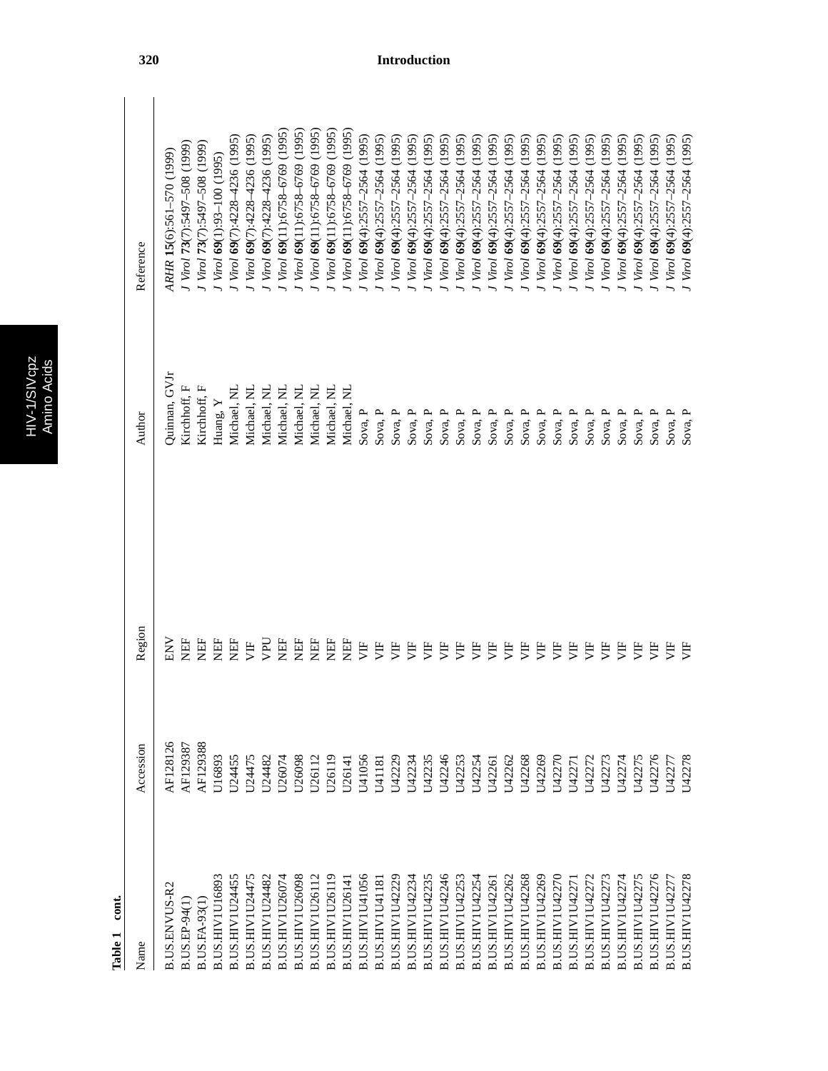| Cſ. |   |
|-----|---|
|     |   |
|     | г |
|     |   |

| ţ |  |
|---|--|
|   |  |
| г |  |
|   |  |
|   |  |

| $\cot$<br>Table 1      |           |           |               |                                     |
|------------------------|-----------|-----------|---------------|-------------------------------------|
| Name                   | Accession | Region    | Author        | Reference                           |
| <b>B.US.ENVUS-R2</b>   | AF128126  | <b>NN</b> | Quinnan, GVJr | ARHR 15(6):561-570 (1999)           |
| B.US.EP-94(1)          | AF129387  | 臣<br>又    | Kirchhoff, F  | I Virol 73(7):5497-508 (1999)       |
| <b>B.US.FA-93(1</b>    | AF129388  | EF        | Kirchhoff, F  | J Virol 73(7):5497-508 (1999)       |
| B.US.HIVIU16893        | U16893    | 臣         | Huang, $Y$    | J Virol 69(1):93-100 (1995)         |
| B.US.HIVIU24455        | U24455    | 日         | Michael, NL   | J Virol 69(7):4228-4236 (1995)      |
| B.US.HIVIU24475        | U24475    | УË        | Michael, NL   | J Virol 69(7):4228-4236 (1995)      |
| B.US.HIVIU24482        | U24482    | DdA       | Michael, NL   | J Virol 69(7):4228-4236 (1995)      |
| B.US.HIVIU26074        | U26074    | EH        | Michael, NL   | J Virol 69(11):6758-6769 (1995)     |
| B.US.HIVIU26098        | U26098    | H<br>以    | Michael, NL   | I Virol 69(11):6758-6769 (1995)     |
| B.US.HIVIU26112        | U26112    | EE        | Michael, NL   | (1995)<br>J Virol 69(11):6758-6769  |
| B.US.HIVIU26119        | U26119    | EF        | Michael, NL   | I Virol 69(11):6758-6769 (1995)     |
| B.US.HIVIU2614         | U26141    | EF        | Michael, NL   | Virol 69(11):6758-6769 (1995)       |
| B.US.HIVIU41056        | U41056    | 月         | Sova, P       | $Virol$ 69(4):2557-2564 (1995)      |
| <b>B.US.HIVIU4118</b>  | U41181    | Ë         | Sova, P       | $Varol$ 69(4):2557-2564 (1995)      |
| B.US.HIVIU42229        | U42229    | 月         | Sova, P       | $Varol$ 69(4):2557-2564 (1995)      |
| B.US.HIVIU42234        | U42234    | 月         | Sova, $P$     | (1995)<br>Virol 69(4):2557-2564     |
| B.US.HIV1U42235        | U42235    | Ë         | Sova, P       | (1995)<br>Virol 69(4):2557-2564     |
| B.US.HIV1U42246        | U42246    | Ë         | Sova, P       | (1995)<br>$Virol$ 69(4):2557-2564   |
| B.US.HIVIU42253        | U42253    | 月         | Sova, P       | (1995)<br>$Virol$ 69(4):2557-2564   |
| B.US.HIVIU42254        | U42254    | 月         | Sova, P       | (1995)<br>Virol 69(4):2557-2564     |
| B.US.HIVIU42267        | U42261    | 月         | Sova, P       | (1995)<br>J Virol 69(4):2557-2564   |
| B.US.HIVIU42262        | U42262    | 月         | Sova, P       | (1995)<br>$Varol$ 69(4):2557-2564   |
| B.US.HIV1U42268        | U42268    | 月         | Sova, P       | (1995)<br>J Virol 69(4):2557-2564   |
| B.US.HIVIU42269        | U42269    | 月         | Sova, P       | (1995)<br>J Virol 69(4):2557-2564   |
| B.US.HIVIU42270        | U42270    | 買         | Sova, P       | (1995)<br>J Virol 69(4):2557-2564   |
| B.US.HIVIU4227         | U42271    | 月         | Sova, P       | (1995)<br>J Virol 69(4):2557-2564   |
| B.US.HIVIU42272        | U42272    | 月         | Sova, P       | (1995)<br>J Virol 69(4):2557-2564   |
| B.US.HIVIU42273        | U42273    | 月         | Sova, P       | (1995)<br>J Virol 69(4):2557-2564   |
| B.US.HIV1U42274        | U42274    | 月         | Sova, P       | (1995)<br>J Virol 69(4):2557-2564   |
| <b>B.US.HIVIU42275</b> | U42275    | 貰         | Sova, P       | (1995)<br>Virol 69(4):2557-2564     |
| B.US.HIV1U42276        | U42276    | 月         | Sova, P       | (1995)<br>J Virol 69(4):2557-2564   |
| B.US.HIVIU42277        | U42277    | Ë         | Sova, P       | (1995)<br>J Virol 69(4):2557-2564   |
| B.US.HIVIU42278        | J42278    | 貰         | Sova, P       | $I$ Virol $69(4)$ :2557–2564 (1995) |

 $\overline{\phantom{a}}$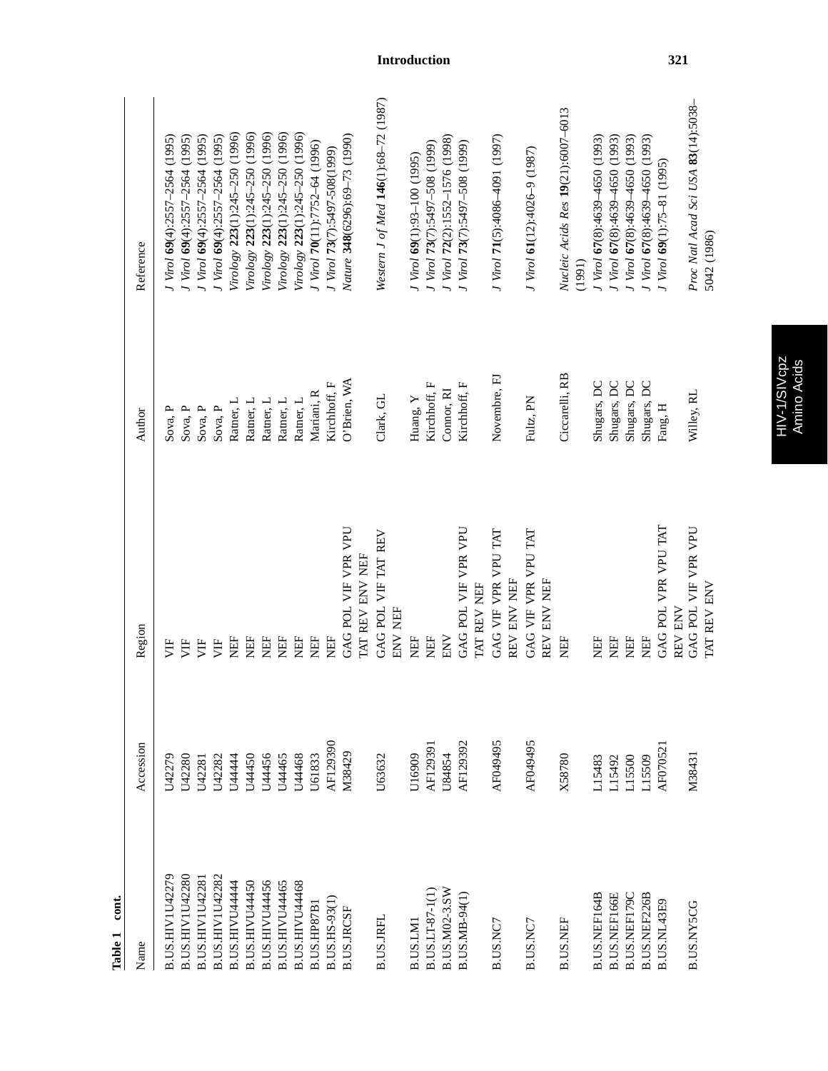| cont.<br>Table 1    |           |                                    |                |                                                    |
|---------------------|-----------|------------------------------------|----------------|----------------------------------------------------|
| Name                | Accession | Region                             | Author         | Reference                                          |
| B.US.HIVIU42279     | U42279    | È                                  | Sova, P        | J Virol 69(4):2557-2564 (1995)                     |
| B.US.HIVIU42280     | U42280    | È                                  | Sova, P        | J Virol 69(4):2557-2564 (1995)                     |
| B.US.HIVIU4228      | U42281    | УË                                 | Sova, P        | J Virol 69(4):2557-2564 (1995)                     |
| B.US.HIVIU42282     | U42282    | 月                                  | Sova, P        | J Virol 69(4):2557-2564 (1995)                     |
| B.US.HIVU44444      | U44444    | EF                                 | Ratner, L      | Virology 223(1):245-250 (1996)                     |
| B.US.HIVU44450      | U44450    | EF                                 | Ratner, L      | Virology 223(1):245-250 (1996)                     |
| B.US.HIVU44456      | U44456    | EF                                 | Ratner, L      | Virology 223(1):245-250 (1996)                     |
| B.US.HIVU44465      | U44465    | EF                                 | Ratner, L      | Virology 223(1):245-250 (1996)                     |
| B.US.HIVU44468      | U44468    | EF                                 | Ratner, L      | Virology 223(1):245-250 (1996)                     |
| B.US.HP87B1         | U61833    | EF                                 | Mariani, R     | J Virol 70(11):7752-64 (1996)                      |
| B.US.HS-93(1)       | AF129390  | EF                                 | Kirchhoff, F   | J Virol 73(7):5497-508(1999)                       |
| <b>B.US.JRCSF</b>   | M38429    | GAG POL VIF VPR VPU                | O'Brien, WA    | Nature 348(6296):69-73 (1990)                      |
|                     |           | TAT REV ENV NEF                    |                |                                                    |
| B.US.JRFL           | U63632    | GAG POL VIF TAT REV<br>ENV NEF     | Clark, GL      | Western J of Med 146(1):68-72 (1987)               |
| B.US.LMI            | U16909    | EF                                 | Huang, Y       | J Virol 69(1):93-100 (1995)                        |
| B.US.LT-87-1(1)     | AF12939   | <b>NEF</b>                         | Kirchhoff, F   | J Virol 73(7):5497-508 (1999)                      |
| B.US.M02-3.SW       | U84854    | <b>ENV</b>                         | Connor, RI     | J Virol 72(2):1552-1576 (1998)                     |
| B.US.MB-94(1)       | AF129392  | GAG POL VIF VPR VPU                | Kirchhoff, F   | J Virol 73(7):5497-508 (1999)                      |
|                     |           | TAT REV NEF                        |                |                                                    |
| B.US.NC7            | AF049495  | GAG VIF VPR VPU TAT<br>REV ENV NEF | Novembre, FJ   | J Virol 71(5):4086-4091 (1997)                     |
| B.US.NC7            | AF049495  | GAG VIF VPR VPU TAI<br>REV ENV NEF | Fultz, PN      | J Virol 61(12):4026-9 (1987)                       |
| B.US.NEF            | X58780    | EF                                 | Ciccarelli, RB | Nucleic Acids Res 19(21):6007-6013<br>(1991)       |
| B.US.NEF164B        | L15483    | EF                                 | Shugars, DC    | J Virol 67(8):4639-4650 (1993)                     |
| <b>B.US.NEF166E</b> | L15492    | EF                                 | Shugars, DC    | J Virol 67(8):4639-4650 (1993)                     |
| B.US.NEF179C        | L15500    | EF                                 | Shugars, DC    | J Virol 67(8):4639-4650 (1993)                     |
| B.US.NEF226B        | L15509    | ËF                                 | Shugars, DC    | J Virol 67(8):4639-4650 (1993)                     |
| B.US.NL43E9         | AF07052   | GAG POL VPR VPU TAT<br>REV ENV     | Fang, H        | J Virol 69(1):75-81 (1995)                         |
| B.US.NY5CG          | M38431    | GAG POL VIF VPR VPU<br>TAT REV ENV | Willey, RL     | Proc Natl Acad Sci USA 83(14):5038-<br>5042 (1986) |
|                     |           |                                    |                |                                                    |

HIV-1/SIVcpz<br>Amino Acids HIV-1/SIVcpz Amino Acids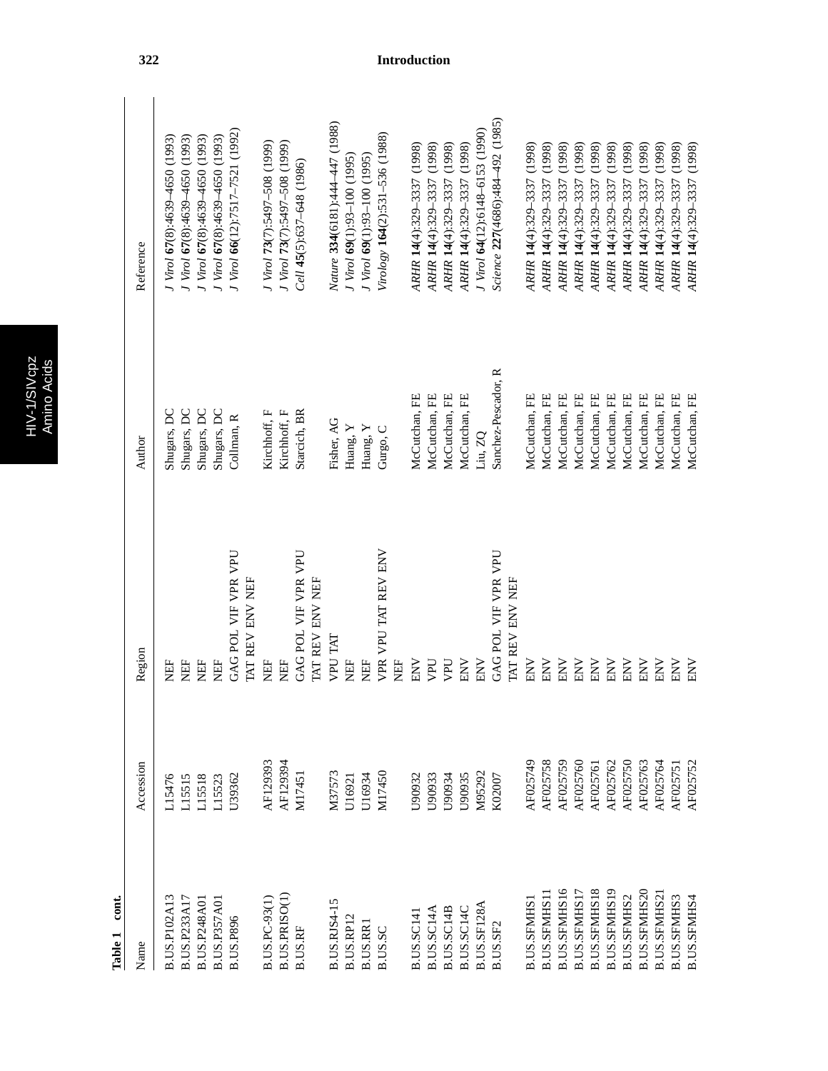|   | ij |
|---|----|
|   |    |
| d |    |
|   |    |
|   | r. |

Σı

| cont.<br>Table 1    |           |                                        |                     |                                  |
|---------------------|-----------|----------------------------------------|---------------------|----------------------------------|
| Name                | Accession | Region                                 | Author              | Reference                        |
| <b>B.US.P102A13</b> | L15476    | EF                                     | Shugars, DC         | J Virol 67(8):4639-4650 (1993)   |
| B.US.P233A17        | L15515    | EF                                     | Shugars, DC         | J Virol 67(8):4639-4650 (1993)   |
| B.US.P248A01        | L15518    | EF                                     | Shugars, DC         | J Virol 67(8):4639-4650 (1993)   |
| <b>B.US.P357A01</b> | L15523    | ËF                                     | Shugars, DC         | J Virol 67(8):4639-4650 (1993)   |
| <b>B.US.P896</b>    | U39362    | GAG POL VIF VPR VPU                    | Collman, R          | J Virol 66(12):7517-7521 (1992)  |
|                     |           | TAT REV ENV NEF                        |                     |                                  |
| B.US.PC-93(1)       | AF129393  | EF                                     | Kirchhoff, F        | J Virol 73(7):5497-508 (1999)    |
| B.US.PRISO(1)       | AF129394  | EF                                     | Kirchhoff, F        | J Virol 73(7):5497-508 (1999)    |
| B.US.RF             | M17451    | GAG POL VIF VPR VPU                    | Starcich, BR        | $Cell$ 45(5):637-648 (1986)      |
|                     |           | TAT REV ENV NEF                        |                     |                                  |
| B.US.RJS4-15        | M37573    | <b>LKI</b> DAN                         | Fisher, AG          | Nature 334(6181):444-447 (1988)  |
| B.US.RP12           | U16921    | EF                                     | Huang, Y            | J Virol 69(1):93-100 (1995)      |
| <b>B.US.RRI</b>     | U16934    | EF                                     | Huang, Y            | J Virol 69(1):93-100 (1995)      |
| B.US.SC             | M17450    | VPR VPU TAT REV ENV                    | Gurgo, C            | Virology 164(2):531-536 (1988)   |
|                     |           | EF                                     |                     |                                  |
| <b>B.US.SC141</b>   | U90932    | ENV                                    | McCutchan, FE       | ARHR 14(4):329-3337 (1998)       |
| B.US.SC14A          | U90933    | VPU                                    | McCutchan, FE       | ARHR 14(4):329-3337 (1998)       |
| B.US.SC14B          | U90934    | UHV                                    | McCutchan, FE       | ARHR 14(4):329-3337 (1998)       |
| B.US.SC14C          | U90935    | ENV                                    | McCutchan, FE       | ARHR 14(4):329-3337 (1998)       |
| B.US.SF128A         | M95292    | ENV                                    | Liu, ZQ             | J Virol 64(12):6148-6153 (1990)  |
| B.US.SF2            | K02007    | GAG POL VIF VPR VPU<br>TAT REV ENV NEF | Sanchez-Pescador, R | Science 227(4686):484–492 (1985) |
|                     |           |                                        |                     |                                  |
| <b>B.US.SFMHS</b>   | AF025749  | ENV                                    | McCutchan, FE       | (1998)<br>ARHR 14(4):329-3337    |
| <b>B.US.SFMHS1</b>  | AF025758  | ENV                                    | McCutchan, FE       | (1998)<br>ARHR 14(4):329-3337    |
| B.US.SFMHS16        | AF025759  | ENV                                    | McCutchan, FE       | (1998)<br>ARHR 14(4):329-3337    |
| B.US.SFMHS17        | AF025760  | ENV                                    | McCutchan, FE       | (1998)<br>ARHR 14(4):329-3337    |
| <b>B.US.SFMHS18</b> | AF02576   | ENV                                    | McCutchan, FE       | (1998)<br>ARHR 14(4):329-3337    |
| B.US.SFMHS19        | AF025762  | $\ensuremath{\mathrm{ENV}}$            | McCutchan, FE       | (1998)<br>ARHR 14(4):329-3337    |
| B.US.SFMHS2         | AF025750  | ENV                                    | McCutchan, FE       | (1998)<br>ARHR 14(4):329-3337    |
| <b>B.US.SFMHS20</b> | AF025763  | $\ensuremath{\mathrm{ENV}}$            | McCutchan, FE       | (1998)<br>ARHR 14(4):329-3337    |
| B.US.SFMHS2         | AF025764  | ENV                                    | McCutchan, FE       | (1998)<br>ARHR 14(4):329-3337    |
| <b>B.US.SFMHS3</b>  | AF02575   | ENV                                    | McCutchan, FE       | (1998)<br>ARHR 14(4):329-3337    |
| B.US.SFMHS4         | AF025752  | <b>NN</b>                              | McCutchan, FE       | ARHR 14(4):329-3337 (1998)       |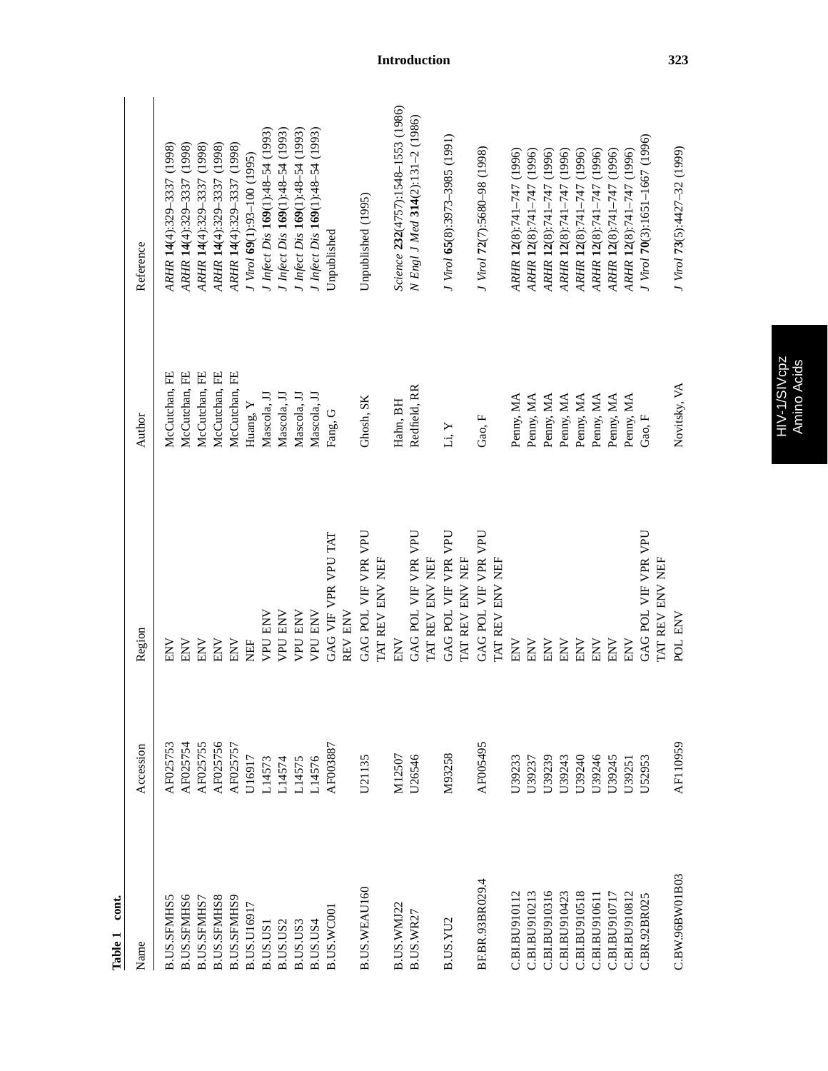| cont.<br>Table 1   |           |                                        |               |                                    |
|--------------------|-----------|----------------------------------------|---------------|------------------------------------|
| Name               | Accession | Region                                 | Author        | Reference                          |
| <b>B.US.SFMHS5</b> | AF025753  | <b>NNE</b>                             | McCutchan, FE | ARHR 14(4):329-3337 (1998)         |
| <b>B.US.SFMHS6</b> | AF025754  | ENV                                    | McCutchan, FE | ARHR 14(4):329-3337 (1998)         |
| B.US.SFMHS7        | AF025755  | ENV                                    | McCutchan, FE | ARHR 14(4):329-3337 (1998)         |
| <b>B.US.SFMHS8</b> | AF025756  | <b>ENV</b>                             | McCutchan, FE | ARHR 14(4):329-3337 (1998)         |
| B.US.SFMHS9        | AF025757  | <b>ENV</b>                             | McCutchan, FE | ARHR 14(4):329-3337 (1998)         |
| B.US.U16917        | U16917    | EF                                     | Huang, Y      | J Virol 69(1):93-100 (1995)        |
| B.US.US            | L14573    | <b>VPU ENV</b>                         | Mascola, JJ   | J Infect Dis 169(1):48-54 (1993)   |
| B.US.US2           | L14574    | <b>VPU ENV</b>                         | Mascola, JJ   | I Infect Dis 169(1):48-54 (1993)   |
| B.US.US3           | 14575     | <b>VPU ENV</b>                         | Mascola, JJ   | I Infect Dis 169(1):48-54 (1993)   |
| B.US.US4           | $-14576$  | <b>VPU ENV</b>                         | Mascola, JJ   | I Infect Dis 169(1):48-54 (1993)   |
| B.US.WC001         | AF003887  | GAG VIF VPR VPU TAT                    | Fang, G       | Unpublished                        |
|                    |           | REV ENV                                |               |                                    |
| B.US.WEAU160       | U21135    | GAG POL VIF VPR VPU                    | Ghosh, SK     | Unpublished (1995)                 |
|                    |           | TAT REV ENV NEF                        |               |                                    |
| B.US.WMJ22         | M12507    | ENV                                    | Hahn, BH      | Science 232(4757):1548-1553 (1986) |
| B.US.WR27          | U26546    | GAG POL VIF VPR VPU                    | Redfield, RR  | N Engl J Med 314(2):131-2 (1986)   |
|                    |           | TAT REV ENV NEF                        |               |                                    |
| B.US.YU2           | M93258    | GAG POL VIF VPR VPU                    | Li, Y         | J Virol 65(8):3973-3985 (1991)     |
|                    |           | TAT REV ENV NEF                        |               |                                    |
| BF.BR.93BR029.4    | AF005495  | GAG POL VIF VPR VPU                    | Gao, F        | J Virol 72(7):5680-98 (1998)       |
|                    |           | <b>TAT REV ENV NEF</b>                 |               |                                    |
| C.BI.BU910112      | U39233    | <b>ENV</b>                             | Penny, MA     | ARHR 12(8):741-747 (1996)          |
| C.BI.BU910213      | U39237    | ENV                                    | Penny, MA     | ARHR 12(8):741-747 (1996)          |
| C.BI.BU910316      | U39239    | ENV                                    | Penny, MA     | ARHR 12(8):741-747 (1996)          |
| C.BI.BU910423      | U39243    | ENV                                    | Penny, MA     | ARHR 12(8):741-747 (1996)          |
| C.BI.BU910518      | U39240    | ENV                                    | Penny, MA     | ARHR 12(8):741-747 (1996)          |
| C.BI.BU910611      | U39246    | ENV                                    | Penny, MA     | ARHR 12(8):741-747 (1996)          |
| C.BI.BU910717      | U39245    | ENV                                    | Penny, MA     | ARHR 12(8):741-747 (1996)          |
| C.BI.BU910812      | U39251    | ENV                                    | Penny, MA     | ARHR 12(8):741-747 (1996)          |
| C.BR.92BR025       | U52953    | GAG POL VIF VPR VPU<br>TAT REV ENV NEF | Gao, F        | J Virol 70(3):1651-1667 (1996)     |
| C.BW.96BW01B03     | AF110959  | POL ENV                                | Novitsky, VA  | J Virol 73(5):4427-32 (1999)       |
|                    |           |                                        |               |                                    |

**Introduction 323**

HIV-1/SIVcpz<br>Amino Acids HIV-1/SIVcpz Amino Acids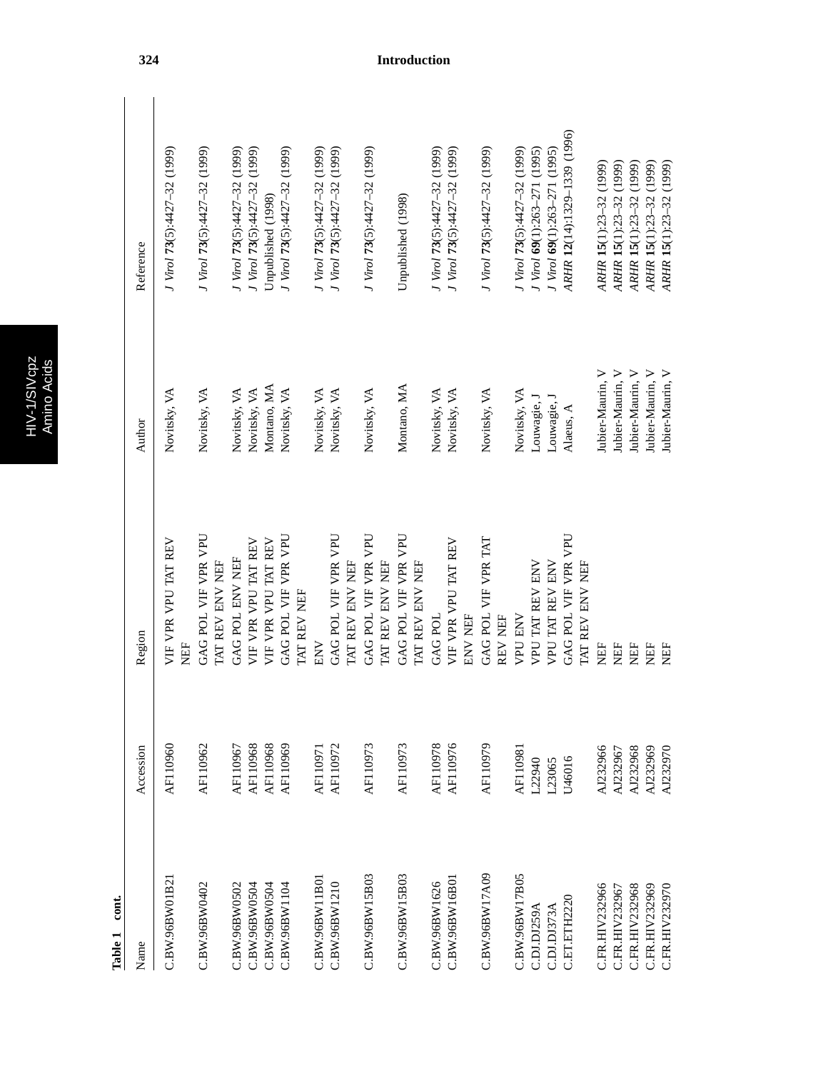| г | л<br>٠ |
|---|--------|
| σ | ٥<br>۳ |
|   |        |
|   | r.     |
|   |        |

| ŗ |  |
|---|--|
|   |  |
| c |  |
|   |  |
| ٦ |  |
|   |  |

| cont.<br>Table 1 |                 |                                        |                  |                              |
|------------------|-----------------|----------------------------------------|------------------|------------------------------|
| Name             | Accession       | Region                                 | Author           | Reference                    |
| C.BW.96BWO1B21   | AF110960        | VIF VPR VPU TAT REV<br><b>NEF</b>      | Novitsky, VA     | J Virol 73(5):4427-32 (1999) |
| C.BW.96BW0402    | AF110962        | GAG POL VIF VPR VPU<br>TAT REV ENV NEF | Novitsky, VA     | J Virol 73(5):4427-32 (1999) |
| C.BW.96BW0502    | AF110967        | GAG POL ENV NEF                        | Novitsky, VA     | J Virol 73(5):4427-32 (1999) |
| C.BW.96BW0504    | AF110968        | VIF VPR VPU TAT REV                    | Novitsky, VA     | J Virol 73(5):4427-32 (1999) |
| C.BW.96BW0504    | AF110968        | VIF VPR VPU TAT REV                    | Montano, MA      | Unpublished (1998)           |
| C.BW.96BW1104    | AF110969        | GAG POL VIF VPR VPU<br>TAT REV NEF     | Novitsky, VA     | J Virol 73(5):4427-32 (1999) |
| C.BW.96BW11B01   | <b>AF110971</b> | ENV                                    | Novitsky, VA     | J Virol 73(5):4427-32 (1999) |
| C.BW.96BW1210    | AF110972        | GAG POL VIF VPR VPU<br>TAT REV ENV NEF | Novitsky, VA     | J Virol 73(5):4427-32 (1999) |
| C.BW.96BW15B03   | AF110973        | GAG POL VIF VPR VPU<br>TAT REV ENV NEF | Novitsky, VA     | J Virol 73(5):4427-32 (1999) |
| C.BW.96BW15B03   | AF110973        | GAG POL VIF VPR VPU<br>TAT REV ENV NEF | Montano, MA      | Unpublished (1998)           |
| C.BW.96BW1626    | AF110978        | <b>GAG POL</b>                         | Novitsky, VA     | J Virol 73(5):4427-32 (1999) |
| C.BW.96BW16B01   | AF110976        | VIF VPR VPU TAT REV<br>ENV NEF         | Novitsky, VA     | J Virol 73(5):4427-32 (1999) |
| C.BW.96BW17A09   | AF110979        | GAG POL VIF VPR TAT<br>REV NEF         | Novitsky, VA     | J Virol 73(5):4427-32 (1999) |
| C.BW.96BW17B05   | <b>AF110981</b> | <b>VPU ENV</b>                         | Novitsky, VA     | J Virol 73(5):4427-32 (1999) |
| C.DJ.DJ259A      | L22940          | VPU TAT REV ENV                        | Louwagie, J      | J Virol 69(1):263-271 (1995) |
| C.DJ.DJ373A      | L23065          | VPU TAT REV ENV                        | Louwagie, J      | J Virol 69(1):263-271 (1995) |
| C.ET.ETH2220     | U46016          | GAG POL VIF VPR VPU<br>TAT REV ENV NEF | Alaeus, A        | ARHR 12(14):1329-1339 (1996) |
| C.FR.HIV232966   | AJ232966        | NEF                                    | Jubier-Maurin, V | ARHR 15(1):23-32 (1999)      |
| C.FR.HIV232967   | AJ232967        | <b>NEF</b>                             | Jubier-Maurin, V | ARHR 15(1):23-32 (1999)      |
| C.FR.HIV232968   | AJ232968        | EF                                     | Jubier-Maurin, V | ARHR 15(1):23-32 (1999)      |
| C.FR.HIV232969   | AJ232969        | EF                                     | Jubier-Maurin, V | ARHR 15(1):23-32 (1999)      |
| C.FR.HIV232970   | AJ232970        | EE                                     | Jubier-Maurin, V | ARHR 15(1):23-32 (1999)      |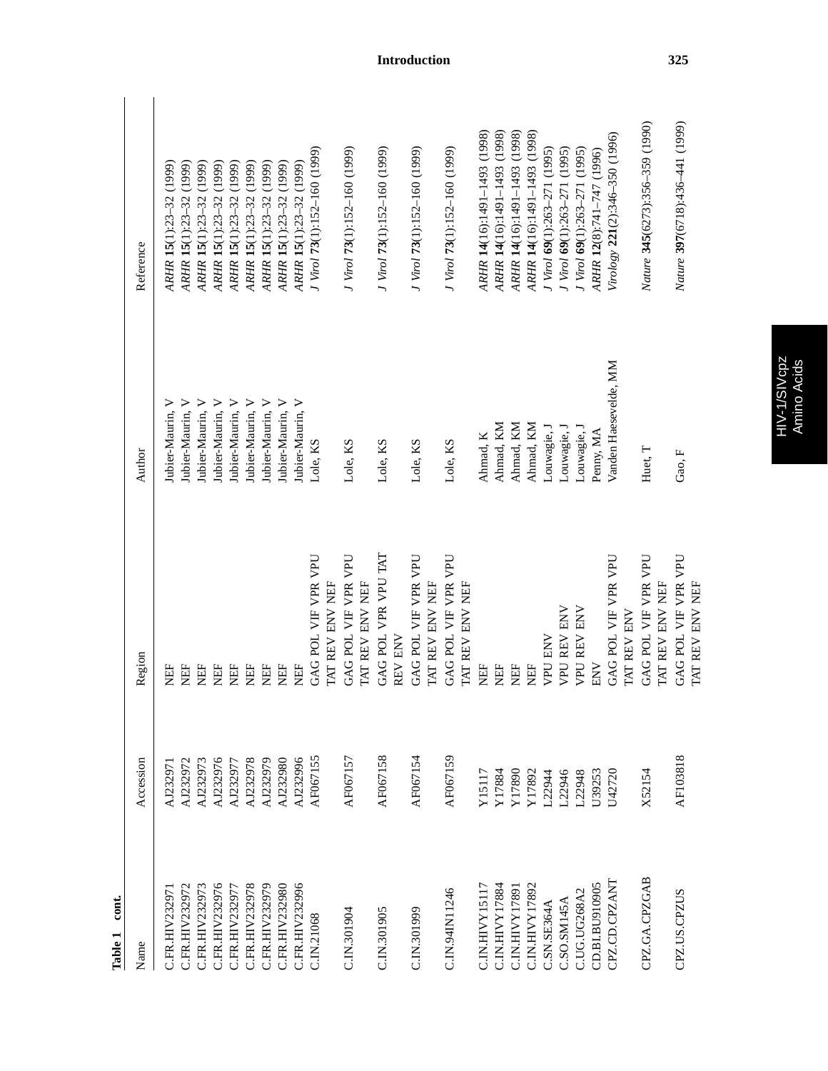| cont.<br>Table 1 |           |                                                  |                       |                                 |
|------------------|-----------|--------------------------------------------------|-----------------------|---------------------------------|
| Name             | Accession | Region                                           | Author                | Reference                       |
| C.FR.HIV23297    | AJ232971  | EF                                               | Jubier-Maurin, V      | ARHR 15(1):23-32 (1999)         |
| C.FR.HIV232972   | AJ232972  | EF                                               | Jubier-Maurin, V      | ARHR 15(1):23-32 (1999)         |
| C.FR.HIV232973   | AJ232973  | EF                                               | Jubier-Maurin, V      | ARHR 15(1):23-32 (1999)         |
| C.FR.HIV232976   | AJ232976  | EF                                               | Jubier-Maurin, V      | ARHR 15(1):23-32 (1999)         |
| C.FR.HIV232977   | AJ232977  | EF                                               | Jubier-Maurin, V      | ARHR 15(1):23-32 (1999)         |
| C.FR.HIV232978   | AJ232978  | EF                                               | Jubier-Maurin, V      | ARHR 15(1):23-32 (1999)         |
| C.FR.HIV232979   | AJ232979  | EF                                               | Jubier-Maurin, V      | ARHR 15(1):23-32 (1999)         |
| C.FR.HIV232980   | AJ232980  | EF                                               | Jubier-Maurin, V      | ARHR 15(1):23-32 (1999)         |
| C.FR.HIV232996   | AJ232996  | EF                                               | Jubier-Maurin, V      | ARHR 15(1):23-32 (1999)         |
| C.IN.21068       | AF067155  | GAG POL VIF VPR VPU                              | Lole, KS              | J Virol 73(1):152-160 (1999)    |
|                  |           | <b>IAT REV ENV NEF</b>                           |                       |                                 |
| C.IN.301904      | AF067157  | <b>UHA</b><br>GAG POL VIF VPR<br>TAT REV ENV NEF | Lole, KS              | J Virol 73(1):152-160 (1999)    |
| C.IN.301905      | AF067158  | GAG POL VPR VPU TAT                              | Lole, KS              | J Virol 73(1):152-160 (1999)    |
|                  |           | REV ENV                                          |                       |                                 |
| C.IN.301999      | AF067154  | GAG POL VIF VPR VPU<br>TAT REV ENV NEF           | Lole, KS              | J Virol 73(1):152-160 (1999)    |
|                  |           |                                                  |                       |                                 |
| C.IN.94IN11246   | AF067159  | GAG POL VIF VPR VPU<br><b>IAT REV ENV NEF</b>    | Lole, KS              | J Virol 73(1):152-160 (1999)    |
| C.IN.HIVY15117   | Y15117    | EF                                               | Ahmad, K              | ARHR 14(16):1491-1493 (1998)    |
| C.IN.HIVY17884   | Y17884    | EF                                               | Ahmad, KM             | ARHR 14(16):1491-1493 (1998)    |
| C.IN.HIVY17891   | Y17890    | EF                                               | Ahmad, KM             | ARHR 14(16):1491-1493 (1998)    |
| C.IN.HIVY17892   | Y17892    | ËF                                               | Ahmad, KM             | ARHR 14(16):1491-1493 (1998)    |
| C.SN.SE364A      | L22944    | VPU ENV                                          | Louwagie, J           | J Virol $69(1):263-271$ (1995)  |
| C.SO.SM145A      | L22946    | <b>VPU REV ENV</b>                               | Louwagie, l           | J Virol 69(1):263-271 (1995)    |
| C.UG.UG268A2     | L22948    | <b>VPU REV ENV</b>                               | Louwagie, J           | J Virol 69(1):263-271 (1995)    |
| CD.BI.BU910905   | U39253    | ENV                                              | Penny, MA             | ARHR 12(8):741-747 (1996)       |
| CPZ.CD.CPZANT    | U42720    | GAG POL VIF VPR VPU<br><b>IAT REV ENV</b>        | Vanden Haesevelde, MM | Virology 221(2):346-350 (1996)  |
| CPZ.GA.CPZGAB    | X52154    | GAG POL VIF VPR VPU<br><b>I'MT REV ENV NEF</b>   | Huet, T               | Nature 345(6273):356-359 (1990) |
| CPZ.US.CPZUS     | AF103818  | GAG POL VIF VPR VPU<br><b>IAT REV ENV NEF</b>    | Gao, F                | Nature 397(6718):436-441 (1999) |
|                  |           |                                                  |                       |                                 |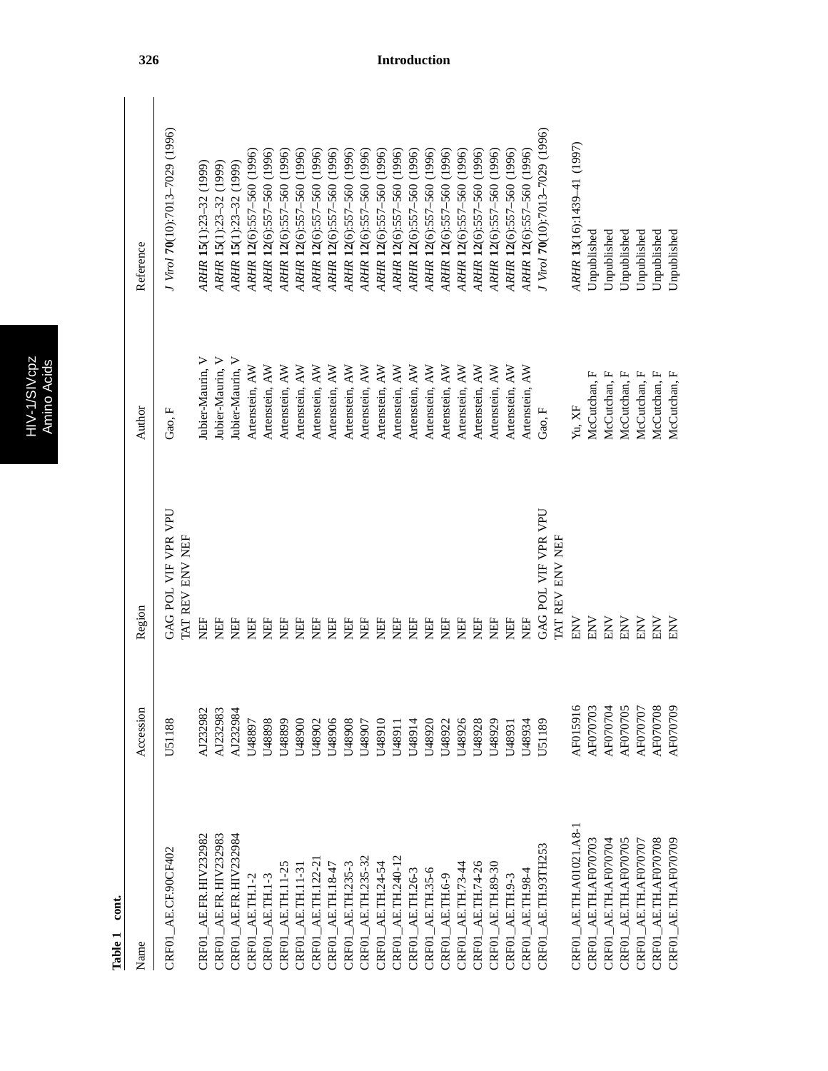HIV-1/SIVcpz<br>Amino Acids HIV-1/SIVcpz Amino Acids

| Name                       | Accession     | Region                                  | Author           | Reference                        |
|----------------------------|---------------|-----------------------------------------|------------------|----------------------------------|
| CRF01 AE.CF.90CF402        | U51188        | GAG POL VIF VPR VPU<br>I'AT REV ENV NEF | Gao, F           | J Virol 70(10):7013-7029 (1996)  |
| CRF01_AE.FR.HIV232982      | AJ232982      | 臣                                       | Jubier-Maurin, V | ARHR 15(1):23-32 (1999)          |
| CRF01_AE.FR.HIV232983      | AJ232983      | Ë                                       | Jubier-Maurin, V | ARHR 15(1):23-32 (1999)          |
| CRF01_AE.FR.HIV232984      | AJ232984      | EF                                      | Jubier-Maurin, V | ARHR 15(1):23-32 (1999)          |
| $CRFO1\_AE.TH.1-2$         | U48897        | EH                                      | Artenstein, AW   | ARHR 12(6):557-560 (1996)        |
| $CRFO1\_AE.TH.1-3$         | U48898        | EF                                      | Artenstein, AW   | ARHR 12(6):557-560 (1996)        |
| CRF01_AE.TH.11-2           | U48899        | EF                                      | Artenstein, AW   | ARHR 12(6):557-560 (1996)        |
| CRF01_AE.TH.11-3           | U48900        | EF                                      | Artenstein, AW   | ARHR 12(6):557-560 (1996)        |
| CRF01_AE.TH.122-2          | U48902        | EF                                      | Artenstein, AW   | ARHR 12(6):557-560 (1996)        |
| $CRFO1\_AE.TH.18-47$       | U48906        | EF                                      | Artenstein, AW   | ARHR 12(6):557-560 (1996)        |
| CRF01_AE.TH.235-3          | U48908        | NEF                                     | Artenstein, AW   | ARHR 12(6):557-560 (1996)        |
| CRF01_AE.TH.235-32         | U48907        | EF                                      | Artenstein, AW   | ARHR 12(6):557-560 (1996)        |
| CRF01_AE.TH.24-54          | U48910        | EF                                      | Artenstein, AW   | ARHR 12(6):557-560 (1996)        |
| CRF01_AE.TH.240-12         | U48911        | EF                                      | Artenstein, AW   | ARHR 12(6):557-560 (1996)        |
| CRF01_AE.TH.26-3           | U48914        | EF                                      | Artenstein, AW   | ARHR 12(6):557-560 (1996)        |
| $CRFO1\_AE.TH.35-6$        | U48920        | EF                                      | Artenstein, AW   | ARHR 12(6):557-560 (1996)        |
| $CRFO1\_AE.TH.6-9$         | U48922        | EF                                      | Artenstein, AW   | ARHR 12(6):557-560 (1996)        |
| CRF01_AE.TH.73-44          | U48926        | EF                                      | Artenstein, AW   | ARHR 12(6):557-560 (1996)        |
| CRF01_AE.TH.74-26          | U48928        | EF                                      | Artenstein, AW   | ARHR 12(6):557-560 (1996)        |
| CRF01_AE.TH.89-30          | U48929        | EF                                      | Artenstein, AW   | ARHR 12(6):557-560 (1996)        |
| $CRFO1$ $AE$ TH $9-3$      | U48931        | EF                                      | Artenstein, AW   | ARHR 12(6):557-560 (1996)        |
| CRF01 AE.TH.984            | U48934        | EF                                      | Artenstein, AW   | ARHR 12(6):557-560 (1996)        |
| CRF01_AE.TH.93TH253        | <b>J51189</b> | GAG POL VIF VPR VPU                     | Gao, F           | J Virol 70(10):7013-7029 (1996)  |
|                            |               | <b>I'AT REV ENV NEF</b>                 |                  |                                  |
| $CRFO1\_AE.TH.A01021.A8-1$ | AF015916      | ENV                                     | Yu, XF           | ARHR 13(16):1439-41 (1997)       |
| CRF01_AE.TH.AF070703       | AF070703      | ENV                                     | McCutchan, F     | Unpublished                      |
| $CRFO1\_AE.TH.AF070704$    | AF070704      | <b>NN</b>                               | McCutchan, F     | <b><i><u>Jnpublished</u></i></b> |
| CRF01_AE.TH.AF070705       | AF070705      | ENV                                     | McCutchan, F     | Unpublished                      |
| $CRFO1\_AE.TH.AF070707$    | AF070707      | ENV                                     | McCutchan, F     | Unpublished                      |
| CRF01_AE.TH.AF070708       | AF070708      | ENV                                     | McCutchan, F     | Unpublished                      |
| CRF01_AE.TH.AF070709       | AF070709      | ENV                                     | McCutchan, F     | <b><i><u>Inpublished</u></i></b> |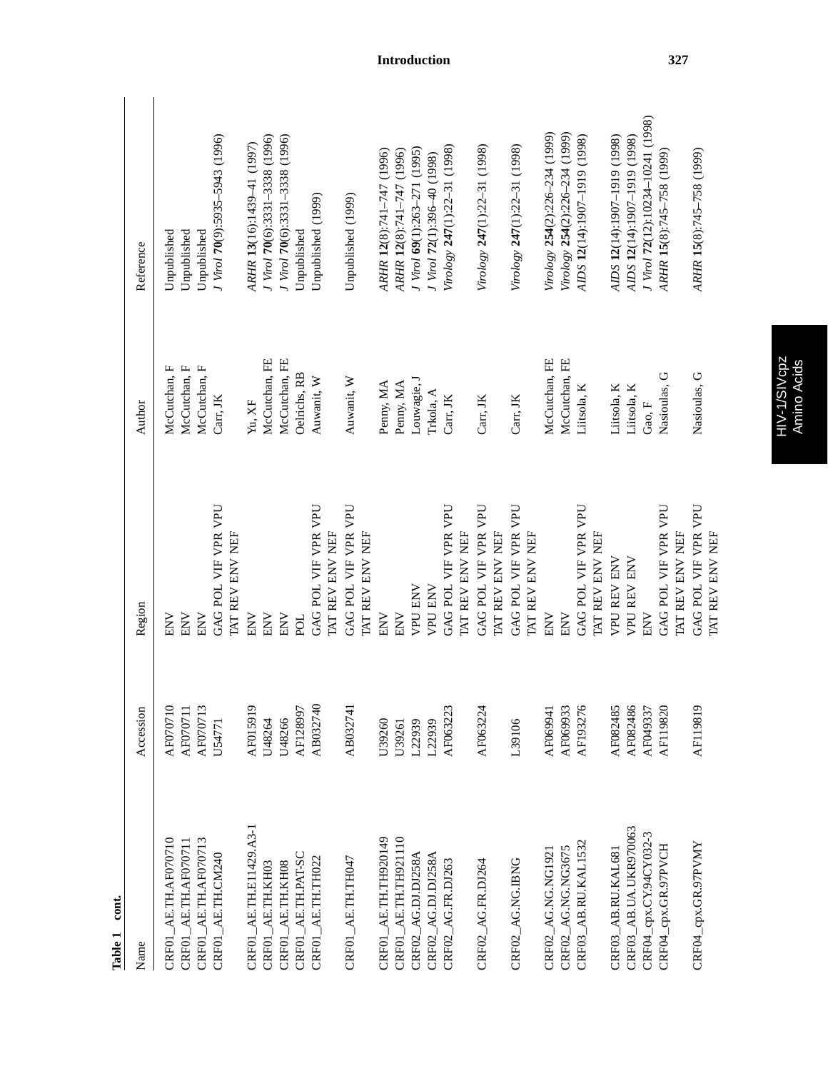| Name                           | Accession | Region                                 | Author        | Reference                         |
|--------------------------------|-----------|----------------------------------------|---------------|-----------------------------------|
| AE.TH.AF070710<br><b>CRF01</b> | AF070710  | ENV                                    | McCutchan, F  | Unpublished                       |
| CRF01_AE.TH.AF070711           | AF070711  | ENV                                    | McCutchan, F  | Unpublished                       |
| CRF01_AE.TH.AF070713           | AF070713  | ENV                                    | McCutchan, F  | Unpublished                       |
| CRF01_AE.TH.CM240              | U54771    | GAG POL VIF VPR VPU                    | Carr, JK      | I Virol 70(9):5935-5943 (1996)    |
|                                |           | TAT REV ENV NEF                        |               |                                   |
| CRF01_AE.TH.E11429.A3-1        | AF015919  | ENV                                    | Yu, XF        | ARHR 13(16):1439-41 (1997)        |
| CRF01_AE.TH.KH03               | U48264    | ENV                                    | McCutchan, FE | J Virol 70(6):3331-3338 (1996)    |
| CRF01_AE.TH.KH08               | U48266    | ENV                                    | McCutchan, FE | J Virol 70(6):3331-3338 (1996)    |
| CRF01_AE.TH.PAT-SC             | AF128997  | <b>POL</b>                             | Oelrichs, RB  | Unpublished                       |
| CRF01_AE.TH.TH022              | AB032740  | GAG POL VIF VPR VPU                    | Auwanit, W    | Unpublished (1999)                |
|                                |           | TAT REV ENV NEF                        |               |                                   |
| CRF01_AE.TH.TH047              | AB032741  | GAG POL VIF VPR VPU                    | Auwanit, W    | Unpublished (1999)                |
|                                |           | TAT REV ENV NEF                        |               |                                   |
| CRF01_AE.TH.TH920149           | U39260    | ENV                                    | Penny, MA     | ARHR 12(8):741-747 (1996)         |
| $CRF01\_AE.TH.TH921110$        | U39261    | ENV                                    | Penny, MA     | ARHR 12(8):741-747 (1996)         |
| CRF02_AG.DJ.DJ258A             | L22939    | <b>VPU ENV</b>                         | Louwagie, J   | J Virol 69(1):263-271 (1995)      |
| CRF02_AG.DJ.DJ258A             | L22939    | <b>VPU ENV</b>                         | Trkola, A     | J Virol 72(1):396-40 (1998)       |
| CRF02_AG.FR.DJ263              | AF063223  | GAG POL VIF VPR VPU                    | Carr, JK      | Virology 247(1):22-31 (1998)      |
|                                |           | TAT REV ENV NEF                        |               |                                   |
| CRF02_AG.FR.DJ264              | AF063224  | GAG POL VIF VPR VPU                    | Carr, JK      | Virology 247(1):22-31 (1998)      |
|                                |           | TAT REV ENV NEF                        |               |                                   |
| CRF02_AG.NG.IBNG               | L39106    | GAG POL VIF VPR VPU<br>TAT REV ENV NEF | Carr, JK      | Virology 247(1):22-31 (1998)      |
| CRF02_AG.NG.NG1921             | AF069941  | ENV                                    | McCutchan, FE | Virology 254(2):226-234 (1999)    |
| CRF02_AG.NG.NG3675             | AF069933  | ENV                                    | McCutchan, FE | Virology 254(2):226-234 (1999)    |
| CRF03_AB.RU.KAL1532            | AF193276  | GAG POL VIF VPR VPU                    | Litsola, K    | AIDS 12(14):1907-1919 (1998)      |
|                                |           | TAT REV ENV NEF                        |               |                                   |
| CRF03_AB.RU.KAL681             | AF082485  | <b>VPU REV ENV</b>                     | Litsola, K    | AIDS 12(14):1907-1919 (1998)      |
| CRF03_AB.UA.UKR970063          | AF082486  | <b>VPU REV ENV</b>                     | Litsola, K    | AIDS 12(14):1907-1919 (1998)      |
| CRF04_cpx.CY.94CY032-3         | AF049337  | ENV                                    | Gao, F        | J Virol 72(12):10234-10241 (1998) |
| CRF04_cpx.GR.97PVCH            | AF119820  | GAG POL VIF VPR VPU                    | Nasioulas, G  | ARHR 15(8):745-758 (1999)         |
|                                |           | TAT REV ENV NEF                        |               |                                   |
| CRF04_cpx.GR.97PVMY            | AF119819  | GAG POL VIF VPR VPU                    | Nasioulas, G  | ARHR 15(8):745-758 (1999)         |
|                                |           | TAT REV ENV NEF                        |               |                                   |

Table 1 cont. **Table 1 cont.**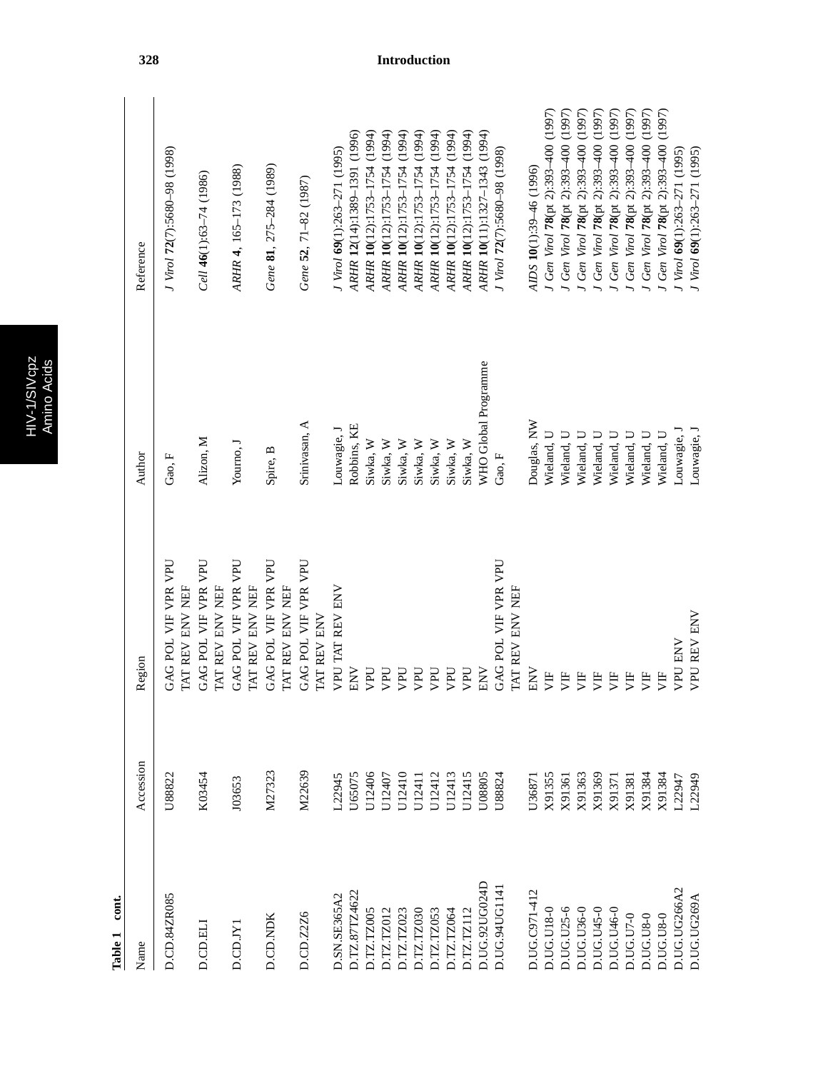|   | г |
|---|---|
| Ó |   |
|   |   |
|   | ٠ |
|   |   |

Ņ

| Name          | Accession        | Region                                    | Author               | Reference                           |
|---------------|------------------|-------------------------------------------|----------------------|-------------------------------------|
| D.CD.84ZR085  | U88822           | GAG POL VIF VPR VPU<br>TAT REV ENV NEF    | Gao, F               | J Virol 72(7):5680-98 (1998)        |
| D.CD.ELI      | K03454           | GAG POL VIF VPR VPU<br>TAT REV ENV NEF    | Alizon, M            | Cell $46(1):63-74(1986)$            |
| D.CD.JYI      | J03653           | GAG POL VIF VPR VPU<br>TAT REV ENV NEF    | Yourno, J            | ARHR 4, 165-173 (1988)              |
| D.CD.NDK      | M27323           | GAG POL VIF VPR VPU<br>TAT REV ENV NEF    | Spire, B             | Gene 81, 275-284 (1989)             |
| D.CD.Z2Z6     | M22639           | GAG POL VIF VPR VPU<br><b>IAT REV ENV</b> | Srinivasan, A        | Gene 52, 71-82 (1987)               |
| D.SN.SE365A2  | L22945           | <b>VPU TAT REV ENV</b>                    | Louwagie, J          | $J$ Virol $69(1):263-271(1995)$     |
| D.TZ.87TZ4622 | U65075           | <b>NN</b>                                 | Robbins, KE          | ARHR 12(14):1389-1391 (1996)        |
| D.TZ.TZ005    | U12406           | UHV                                       | Siwka, W             | ARHR 10(12):1753-1754 (1994)        |
| DTZ.TZ012     | U12407           | DdA                                       | Siwka, W             | ARHR 10(12):1753-1754 (1994)        |
| D.TZ.TZ023    | U12410           | DdA                                       | Siwka, W             | ARHR 10(12):1753-1754 (1994)        |
| D.TZ.TZ030    | U12411           | UAN                                       | Siwka, W             | ARHR 10(12):1753-1754 (1994)        |
| D.TZ.TZ053    | U12412<br>U12413 | DdA                                       | Siwka, W             | ARHR 10(12):1753-1754 (1994)        |
| D.TZ.TZ064    |                  | <b>UdA</b>                                | Siwka, W             | ARHR 10(12):1753-1754 (1994)        |
| D.TZ.TZ112    | U12415           | <b>UdA</b>                                | Siwka, W             | ARHR 10(12):1753-1754 (1994)        |
| D.UG.92UG024D | U08805           | ENV                                       | WHO Global Programme | ARHR 10(11):1327-1343 (1994)        |
| D.UG.94UG114  | U88824           | GAG POL VIF VPR VPU<br>TAT REV ENV NEF    | Gao, F               | J Virol 72(7):5680-98 (1998)        |
|               |                  |                                           |                      |                                     |
| D.UG.C971-412 | U36871           | ENV                                       | Douglas, NW          | AIDS 10(1):39-46 (1996)             |
| D.UG.U18-0    | X91355           | È                                         | Wieland, U           | J Gen Virol 78(pt 2):393-400 (1997) |
| D.UG.U25-6    | X91361           | 月                                         | Wieland, U           | J Gen Virol 78(pt 2):393-400 (1997) |
| D.UG.U36-0    | X91363           | УF                                        | Wieland, U           | Gen Virol 78(pt 2):393-400 (1997)   |
| D.UG.U45-0    | X91369           | УF                                        | Wieland, U           | Gen Virol 78(pt 2):393-400 (1997)   |
| D.UG.U46-0    | X91371           | УF                                        | Wieland, U           | Gen Virol 78(pt 2):393-400 (1997)   |
| D.UG.U7-0     | X91381           | È                                         | Wieland, U           | Gen Virol 78(pt 2):393-400 (1997)   |
| D.UG.U8-0     | X91384           | Ë                                         | Wieland, U           | Gen Virol 78(pt 2):393-400 (1997)   |
| D.UG.U8-0     | X91384           | 灯                                         | Wieland, U           | Gen Virol 78(pt 2):393-400 (1997)   |
| D.UG.UG266A2  | L22947           | <b>VPU ENV</b>                            | Louwagie, l          | J Virol 69(1):263-271 (1995)        |
| D.UG.UG269A   | L22949           | <b>VPU REV ENV</b>                        | Louwagie, l          | J Virol 69(1):263-271 (1995)        |
|               |                  |                                           |                      |                                     |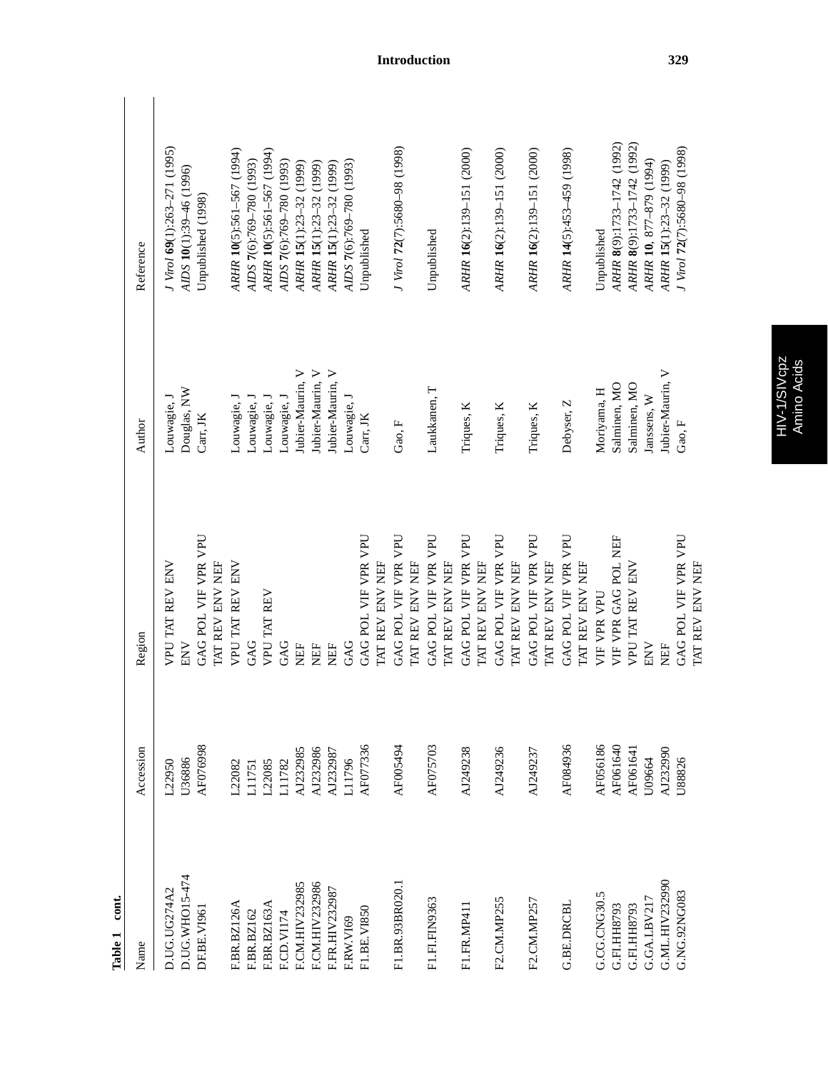| $\cot$<br>Table 1 |           |                                        |                  |                              |
|-------------------|-----------|----------------------------------------|------------------|------------------------------|
| Name              | Accession | Region                                 | Author           | Reference                    |
| D.UG.UG274A2      | $-22950$  | VPU TAT REV ENV                        | Louwagie, J      | J Virol 69(1):263-271 (1995) |
| D.UG.WHO15-474    | U36886    | ENV                                    | Douglas, NW      | AIDS 10(1):39-46 (1996)      |
| DF.BE.VI961       | AF076998  | GAG POL VIF VPR VPU                    | Carr, JK         | Unpublished (1998)           |
|                   |           | TAT REV ENV NEF                        |                  |                              |
| F.BR.BZ126A       | L22082    | VPU TAT REV ENV                        | Louwagie, J      | ARHR 10(5):561-567 (1994)    |
| F.BR.BZ162        | L11751    | GAG                                    | Louwagie, J      | AIDS 7(6):769-780 (1993)     |
| F.BR.BZ163A       | L22085    | VPU TAT REV                            | Louwagie, J      | ARHR 10(5):561-567 (1994)    |
| F.CD.VII74        | L11782    | GAG                                    | Louwagie, J      | AIDS 7(6):769-780 (1993)     |
| F.CM.HIV232985    | AJ232985  | <b>NEF</b>                             | Jubier-Maurin, V | ARHR 15(1):23-32 (1999)      |
| F.CM.HIV232986    | AJ232986  | ËF                                     | Jubier-Maurin, V | ARHR 15(1):23-32 (1999)      |
| F.FR.HIV232987    | AJ232987  | ËF                                     | Jubier-Maurin, V | ARHR 15(1):23-32 (1999)      |
| FRW.VI69          | L11796    | GAG                                    | Louwagie, J      | AIDS 7(6):769-780 (1993)     |
| F1.BE.VI850       | AF077336  | GAG POL VIF VPR VPU                    | Carr, JK         | Unpublished                  |
|                   |           | TAT REV ENV NEF                        |                  |                              |
| F1.BR.93BR020.1   | AF005494  | GAG POL VIF VPR VPU<br>TAT REV ENV NEF | Gao, F           | J Virol 72(7):5680-98 (1998) |
| F1.FI.FIN9363     | AF075703  | GAG POL VIF VPR VPU<br>TAT REV ENV NEF | Laukkanen, T     | Unpublished                  |
| F1.FR.MP411       | AJ249238  | GAG POL VIF VPR VPU<br>TAT REV ENV NEF | Triques, K       | ARHR 16(2):139-151 (2000)    |
|                   |           |                                        |                  |                              |
| F2.CM.MP255       | AJ249236  | GAG POL VIF VPR VPU<br>TAT REV ENV NEF | Triques, K       | ARHR 16(2):139-151 (2000)    |
| F2.CM.MP257       | AJ249237  | GAG POL VIF VPR VPU<br>TAT REV ENV NEF | Triques, K       | ARHR 16(2):139-151 (2000)    |
| <b>G.BE.DRCBL</b> | AF084936  | GAG POL VIF VPR VPU<br>TAT REV ENV NEF | Debyser, Z       | ARHR 14(5):453-459 (1998)    |
| G.CG.CNG30.5      | AF056186  | VIF VPR VPU                            | Moriyama, H      | Unpublished                  |
| G.FI.HH8793       | AF061640  | VIF VPR GAG POL NEF                    | Salminen, MO     | ARHR 8(9):1733-1742 (1992)   |
| G.FI.HH8793       | AF061641  | VPU TAT REV ENV                        | Salminen, MO     | ARHR 8(9):1733-1742 (1992)   |
| G.GA.LBV217       | U09664    | ENV                                    | Janssens, W      | ARHR 10, 877-879 (1994)      |
| G.ML.HIV232990    | AJ232990  | EF                                     | Jubier-Maurin, V | ARHR 15(1):23-32 (1999)      |
| G.NG.92NG083      | U88826    | GAG POL VIF VPR VPU<br>TAT REV ENV NEF | Gao, F           | J Virol 72(7):5680-98 (1998) |
|                   |           |                                        |                  |                              |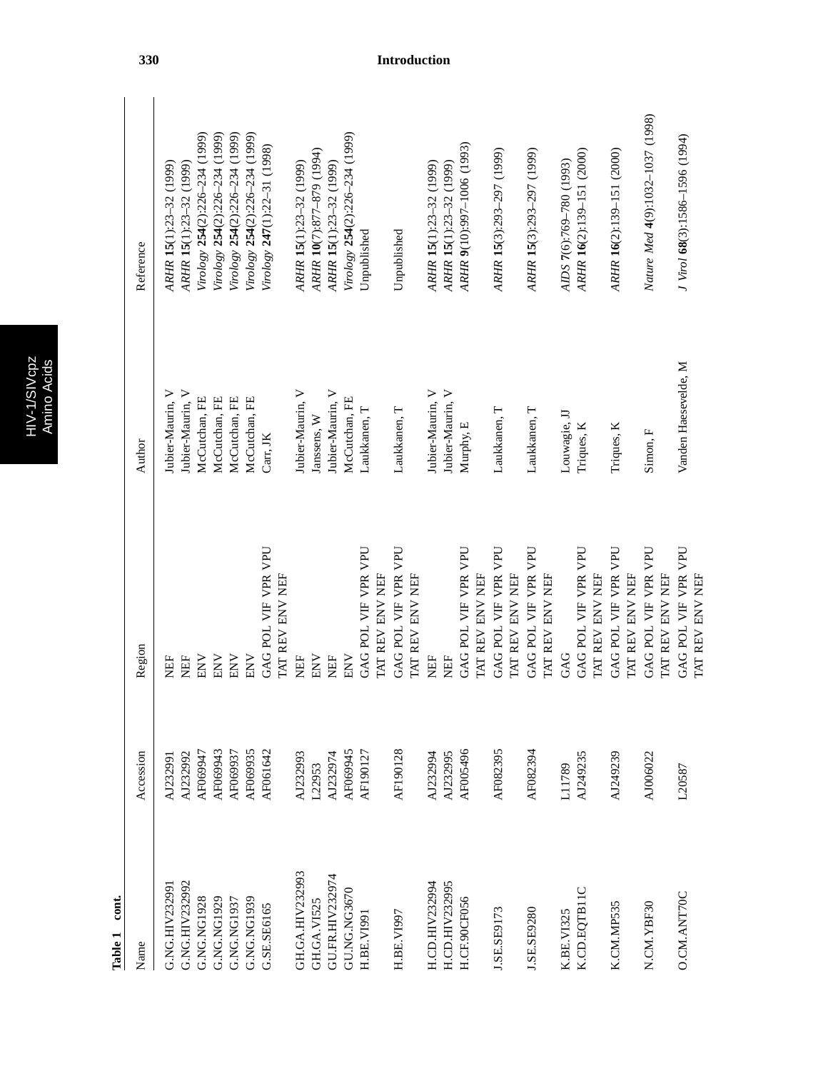|   | n<br>O) |
|---|---------|
|   | г       |
| Ø |         |
|   |         |
|   | ٥       |

| Name                  | Accession | Region                                         | Author               | Reference                        |
|-----------------------|-----------|------------------------------------------------|----------------------|----------------------------------|
| G.NG.HIV23299         | AJ232991  | <b>NEF</b>                                     | Jubier-Maurin, V     | ARHR 15(1):23-32 (1999)          |
| G.NG.HIV232992        | AJ232992  | NEF                                            | Jubier-Maurin, V     | ARHR 15(1):23-32 (1999)          |
| G.NG.NG1928           | AF069947  | <b>ENV</b>                                     | McCutchan, FE        | Virology 254(2):226-234 (1999)   |
| G.NG.NG1929           | AF069943  | <b>ENV</b>                                     | McCutchan, FE        | Virology 254(2):226-234 (1999)   |
| G.NG.NG1937           | AF069937  | ENV                                            | McCutchan, FE        | Virology 254(2):226-234 (1999)   |
| G.NG.NG1939           | AF069935  | $\mathop{\rm ENV}\nolimits$                    | McCutchan, FE        | Virology 254(2):226-234 (1999)   |
| G.SE.SE6165           | AF061642  | GAG POL VIF VPR VPU                            | Carr, JK             | Virology 247(1):22-31 (1998)     |
|                       |           | TAT REV ENV NEF                                |                      |                                  |
| GH.GA.HIV232993       | AJ232993  | <b>NEF</b>                                     | Jubier-Maurin, V     | ARHR 15(1):23-32 (1999)          |
| GH.GA.VI525           | L22953    | $\ensuremath{\text{ENV}}$                      | Janssens, W          | ARHR 10(7):877-879 (1994)        |
| GU.FR.HIV232974       | AJ232974  | <b>NEF</b>                                     | Jubier-Maurin, V     | ARHR 15(1):23-32 (1999)          |
| GU.NG.NG3670          | AF069945  | ENV                                            | McCutchan, FE        | Virology 254(2):226-234 (1999)   |
| H.BE.VI991            | AF190127  | GAG POL VIF VPR VPU                            | Laukkanen, T         | Unpublished                      |
|                       |           | TAT REV ENV NEF                                |                      |                                  |
| H.BE.VI997            | AF190128  | GAG POL VIF VPR VPU                            | Laukkanen, T         | Unpublished                      |
|                       |           | TAT REV ENV NEF                                |                      |                                  |
| H.CD.HIV232994        | AJ232994  | <b>NEF</b>                                     | Jubier-Maurin, V     | ARHR 15(1):23-32 (1999)          |
| <b>H.CD.HIV232995</b> | AJ232995  | <b>NEF</b>                                     | Jubier-Maurin, V     | ARHR 15(1):23-32 (1999)          |
| H.CF.90CF056          | AF005496  | GAG POL VIF VPR VPU                            | Murphy, E            | ARHR 9(10):997-1006 (1993)       |
|                       |           | TAT REV ENV NEF                                |                      |                                  |
| J.SE.SE9173           | AF082395  | GAG POL VIF VPR VPU<br>TAT REV ENV NEF         | Laukkanen, T         | ARHR 15(3):293-297 (1999)        |
| J.SE.SE9280           | AF082394  | GAG POL VIF VPR VPU<br>TAT REV ENV NEF         | Laukkanen, T         | ARHR 15(3):293-297 (1999)        |
| K.BE.VI325            | L11789    | GAG                                            | Louwagie, JJ         | AIDS 7(6):769-780 (1993)         |
| K.CD.EQTB11C          | AJ249235  | GAG POL VIF VPR VPU                            | Triques, K           | ARHR 16(2):139-151 (2000)        |
|                       |           | TAT REV ENV NEF                                |                      |                                  |
| K.CM.MP535            | AJ249239  | GAG POL VIF VPR VPU                            | Triques, K           | ARHR 16(2):139-151 (2000)        |
|                       |           | TAT REV ENV NEF                                |                      |                                  |
| N.CM.YBF30            | AJ006022  | GAG POL VIF VPR VPU<br><b>I'MT REV ENV NEF</b> | Simon, F             | Nature Med 4(9):1032-1037 (1998) |
| O.CM.ANT70C           | L20587    | GAG POL VIF VPR VPU                            | Vanden Haesevelde, M | J Virol 68(3):1586-1596 (1994)   |
|                       |           | TAT REV ENV NEF                                |                      |                                  |